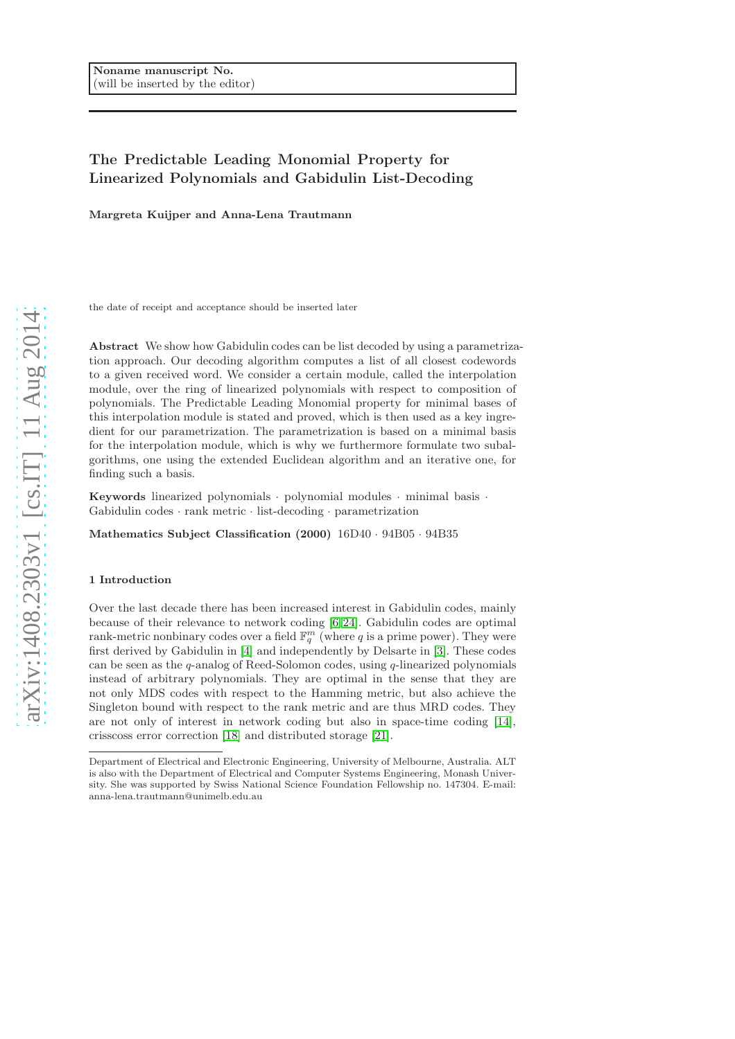# The Predictable Leading Monomial Property for Linearized Polynomials and Gabidulin List-Decoding

Margreta Kuijper and Anna-Lena Trautmann

the date of receipt and acceptance should be inserted later

Abstract We show how Gabidulin codes can be list decoded by using a parametrization approach. Our decoding algorithm computes a list of all closest codewords to a given received word. We consider a certain module, called the interpolation module, over the ring of linearized polynomials with respect to composition of polynomials. The Predictable Leading Monomial property for minimal bases of this interpolation module is stated and proved, which is then used as a key ingredient for our parametrization. The parametrization is based on a minimal basis for the interpolation module, which is why we furthermore formulate two subalgorithms, one using the extended Euclidean algorithm and an iterative one, for finding such a basis.

Keywords linearized polynomials · polynomial modules · minimal basis · Gabidulin codes · rank metric · list-decoding · parametrization

Mathematics Subject Classification (2000) 16D40 · 94B05 · 94B35

#### 1 Introduction

Over the last decade there has been increased interest in Gabidulin codes, mainly because of their relevance to network coding [\[6,](#page-22-0) [24\]](#page-23-0). Gabidulin codes are optimal rank-metric nonbinary codes over a field  $\mathbb{F}_q^m$  (where q is a prime power). They were first derived by Gabidulin in [\[4\]](#page-22-1) and independently by Delsarte in [\[3\]](#page-22-2). These codes can be seen as the  $q$ -analog of Reed-Solomon codes, using  $q$ -linearized polynomials instead of arbitrary polynomials. They are optimal in the sense that they are not only MDS codes with respect to the Hamming metric, but also achieve the Singleton bound with respect to the rank metric and are thus MRD codes. They are not only of interest in network coding but also in space-time coding [\[14\]](#page-22-3), crisscoss error correction [\[18\]](#page-23-1) and distributed storage [\[21\]](#page-23-2).

Department of Electrical and Electronic Engineering, University of Melbourne, Australia. ALT is also with the Department of Electrical and Computer Systems Engineering, Monash University. She was supported by Swiss National Science Foundation Fellowship no. 147304. E-mail: anna-lena.trautmann@unimelb.edu.au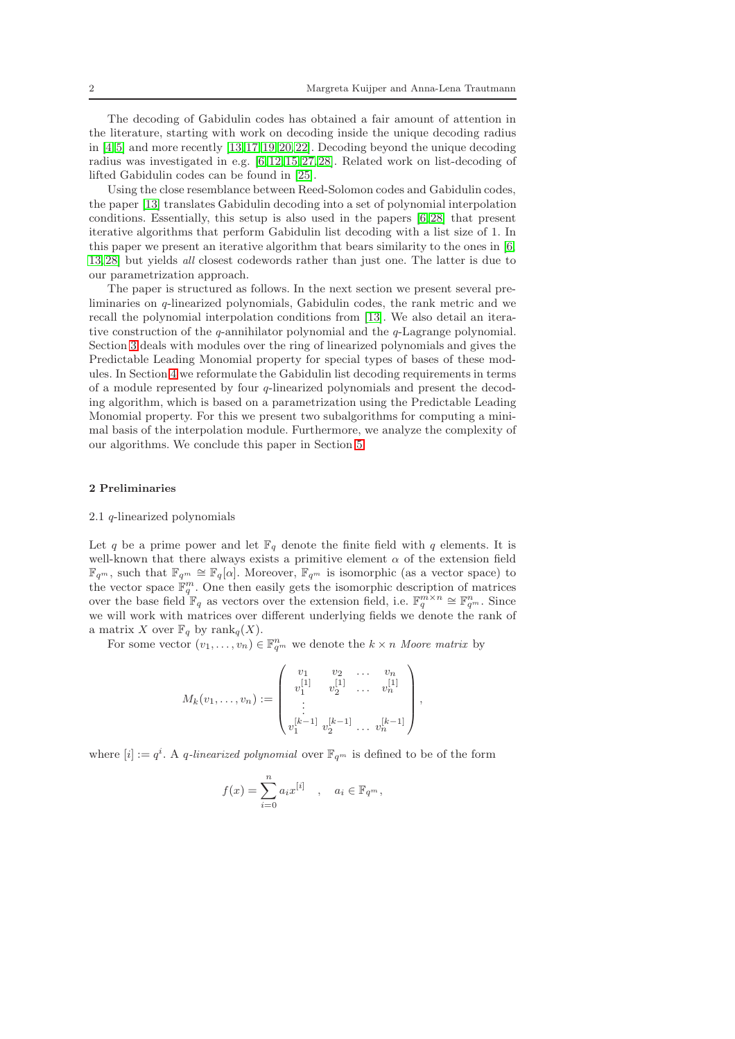The decoding of Gabidulin codes has obtained a fair amount of attention in the literature, starting with work on decoding inside the unique decoding radius in  $[4, 5]$  $[4, 5]$  and more recently  $[13, 17, 19, 20, 22]$  $[13, 17, 19, 20, 22]$  $[13, 17, 19, 20, 22]$  $[13, 17, 19, 20, 22]$  $[13, 17, 19, 20, 22]$ . Decoding beyond the unique decoding radius was investigated in e.g. [\[6,](#page-22-0) [12,](#page-22-7) [15,](#page-22-8) [27,](#page-23-6) [28\]](#page-23-7). Related work on list-decoding of lifted Gabidulin codes can be found in [\[25\]](#page-23-8).

Using the close resemblance between Reed-Solomon codes and Gabidulin codes, the paper [\[13\]](#page-22-5) translates Gabidulin decoding into a set of polynomial interpolation conditions. Essentially, this setup is also used in the papers [\[6,](#page-22-0) [28\]](#page-23-7) that present iterative algorithms that perform Gabidulin list decoding with a list size of 1. In this paper we present an iterative algorithm that bears similarity to the ones in [\[6,](#page-22-0) [13,](#page-22-5) [28\]](#page-23-7) but yields all closest codewords rather than just one. The latter is due to our parametrization approach.

The paper is structured as follows. In the next section we present several preliminaries on q-linearized polynomials, Gabidulin codes, the rank metric and we recall the polynomial interpolation conditions from [\[13\]](#page-22-5). We also detail an iterative construction of the  $q$ -annihilator polynomial and the  $q$ -Lagrange polynomial. Section [3](#page-4-0) deals with modules over the ring of linearized polynomials and gives the Predictable Leading Monomial property for special types of bases of these modules. In Section [4](#page-8-0) we reformulate the Gabidulin list decoding requirements in terms of a module represented by four  $q$ -linearized polynomials and present the decoding algorithm, which is based on a parametrization using the Predictable Leading Monomial property. For this we present two subalgorithms for computing a minimal basis of the interpolation module. Furthermore, we analyze the complexity of our algorithms. We conclude this paper in Section [5.](#page-21-0)

#### 2 Preliminaries

#### 2.1 q-linearized polynomials

Let q be a prime power and let  $\mathbb{F}_q$  denote the finite field with q elements. It is well-known that there always exists a primitive element  $\alpha$  of the extension field  $\mathbb{F}_{q^m}$ , such that  $\mathbb{F}_{q^m} \cong \mathbb{F}_q[\alpha]$ . Moreover,  $\mathbb{F}_{q^m}$  is isomorphic (as a vector space) to the vector space  $\mathbb{F}_q^m$ . One then easily gets the isomorphic description of matrices over the base field  $\mathbb{F}_q$  as vectors over the extension field, i.e.  $\mathbb{F}_q^{m \times n} \cong \mathbb{F}_{q^m}^n$ . Since we will work with matrices over different underlying fields we denote the rank of a matrix X over  $\mathbb{F}_q$  by rank $_q(X)$ .

For some vector  $(v_1, \ldots, v_n) \in \mathbb{F}_{q^m}^n$  we denote the  $k \times n$  Moore matrix by

$$
M_k(v_1,\ldots,v_n) := \begin{pmatrix} v_1 & v_2 & \ldots & v_n \\ v_1^{[1]} & v_2^{[1]} & \ldots & v_n^{[1]} \\ \vdots & & & \\ v_1^{[k-1]} & v_2^{[k-1]} & \ldots & v_n^{[k-1]} \end{pmatrix},
$$

where  $[i] := q^i$ . A q-linearized polynomial over  $\mathbb{F}_{q^m}$  is defined to be of the form

$$
f(x) = \sum_{i=0}^{n} a_i x^{[i]}, \quad a_i \in \mathbb{F}_{q^m},
$$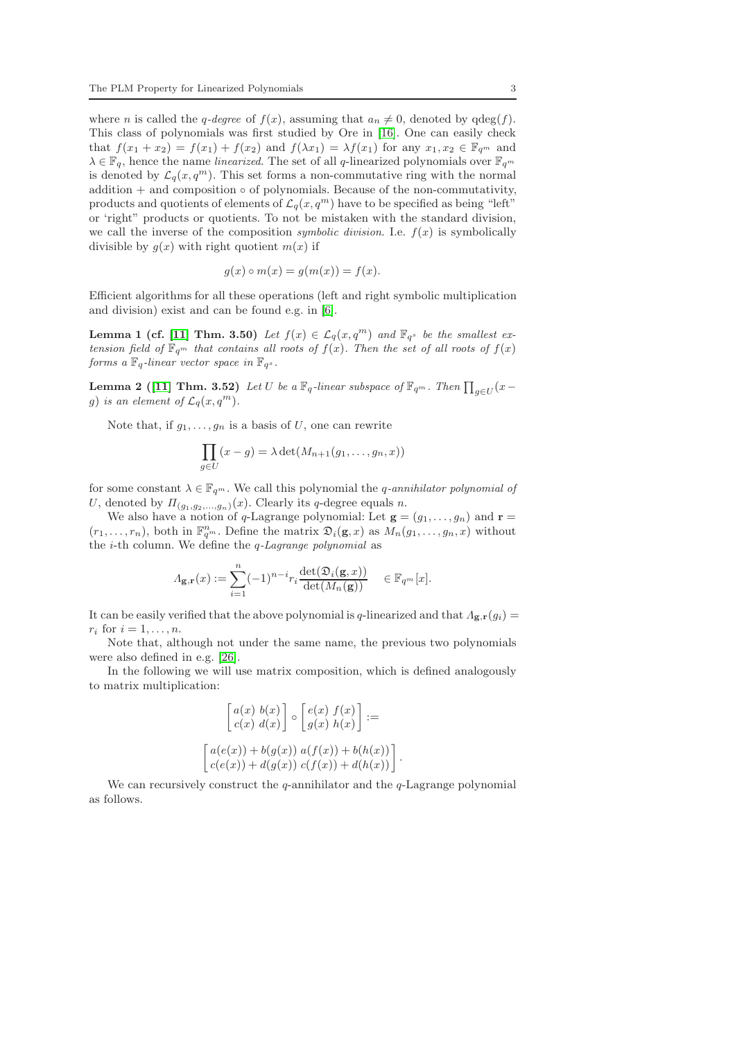where *n* is called the *q*-degree of  $f(x)$ , assuming that  $a_n \neq 0$ , denoted by  $qdeg(f)$ . This class of polynomials was first studied by Ore in [\[16\]](#page-22-9). One can easily check that  $f(x_1 + x_2) = f(x_1) + f(x_2)$  and  $f(\lambda x_1) = \lambda f(x_1)$  for any  $x_1, x_2 \in \mathbb{F}_{q^m}$  and  $\lambda \in \mathbb{F}_q$ , hence the name *linearized*. The set of all q-linearized polynomials over  $\mathbb{F}_{q^m}$ is denoted by  $\mathcal{L}_q(x, q^m)$ . This set forms a non-commutative ring with the normal addition  $+$  and composition  $\circ$  of polynomials. Because of the non-commutativity, products and quotients of elements of  $\mathcal{L}_q(x, q^m)$  have to be specified as being "left" or 'right" products or quotients. To not be mistaken with the standard division, we call the inverse of the composition *symbolic division*. I.e.  $f(x)$  is symbolically divisible by  $q(x)$  with right quotient  $m(x)$  if

$$
g(x) \circ m(x) = g(m(x)) = f(x).
$$

Efficient algorithms for all these operations (left and right symbolic multiplication and division) exist and can be found e.g. in [\[6\]](#page-22-0).

**Lemma 1 (cf. [\[11\]](#page-22-10) Thm. 3.50)** Let  $f(x) \in \mathcal{L}_q(x, q^m)$  and  $\mathbb{F}_{q^s}$  be the smallest extension field of  $\mathbb{F}_{q^m}$  that contains all roots of  $f(x)$ . Then the set of all roots of  $f(x)$ forms a  $\mathbb{F}_q$ -linear vector space in  $\mathbb{F}_{q^s}$ .

<span id="page-2-0"></span>**Lemma 2** ([\[11\]](#page-22-10) Thm. 3.52) Let U be a  $\mathbb{F}_q$ -linear subspace of  $\mathbb{F}_{q^m}$ . Then  $\prod_{g \in U} (x$ g) is an element of  $\mathcal{L}_q(x,q^m)$ .

Note that, if  $g_1, \ldots, g_n$  is a basis of U, one can rewrite

$$
\prod_{g \in U} (x - g) = \lambda \det(M_{n+1}(g_1, \ldots, g_n, x))
$$

for some constant  $\lambda \in \mathbb{F}_{q^m}$ . We call this polynomial the *q*-annihilator polynomial of U, denoted by  $\Pi_{(g_1,g_2,...,g_n)}(x)$ . Clearly its q-degree equals n.

We also have a notion of q-Lagrange polynomial: Let  $\mathbf{g} = (g_1, \ldots, g_n)$  and  $\mathbf{r} =$  $(r_1,\ldots,r_n)$ , both in  $\mathbb{F}_{q^m}^n$ . Define the matrix  $\mathfrak{D}_i(\mathbf{g},x)$  as  $M_n(g_1,\ldots,g_n,x)$  without the i-th column. We define the q-Lagrange polynomial as

$$
\Lambda_{\mathbf{g},\mathbf{r}}(x) := \sum_{i=1}^n (-1)^{n-i} r_i \frac{\det(\mathfrak{D}_i(\mathbf{g},x))}{\det(M_n(\mathbf{g}))} \in \mathbb{F}_{q^m}[x].
$$

It can be easily verified that the above polynomial is q-linearized and that  $\Lambda_{\mathbf{g},\mathbf{r}}(g_i) =$  $r_i$  for  $i = 1, \ldots, n$ .

Note that, although not under the same name, the previous two polynomials were also defined in e.g. [\[26\]](#page-23-9).

In the following we will use matrix composition, which is defined analogously to matrix multiplication:

$$
\begin{bmatrix} a(x) b(x) \\ c(x) d(x) \end{bmatrix} \circ \begin{bmatrix} e(x) f(x) \\ g(x) h(x) \end{bmatrix} :=
$$

$$
\begin{bmatrix} a(e(x)) + b(g(x)) a(f(x)) + b(h(x)) \\ c(e(x)) + d(g(x)) c(f(x)) + d(h(x)) \end{bmatrix}
$$

.

<span id="page-2-1"></span>We can recursively construct the  $q$ -annihilator and the  $q$ -Lagrange polynomial as follows.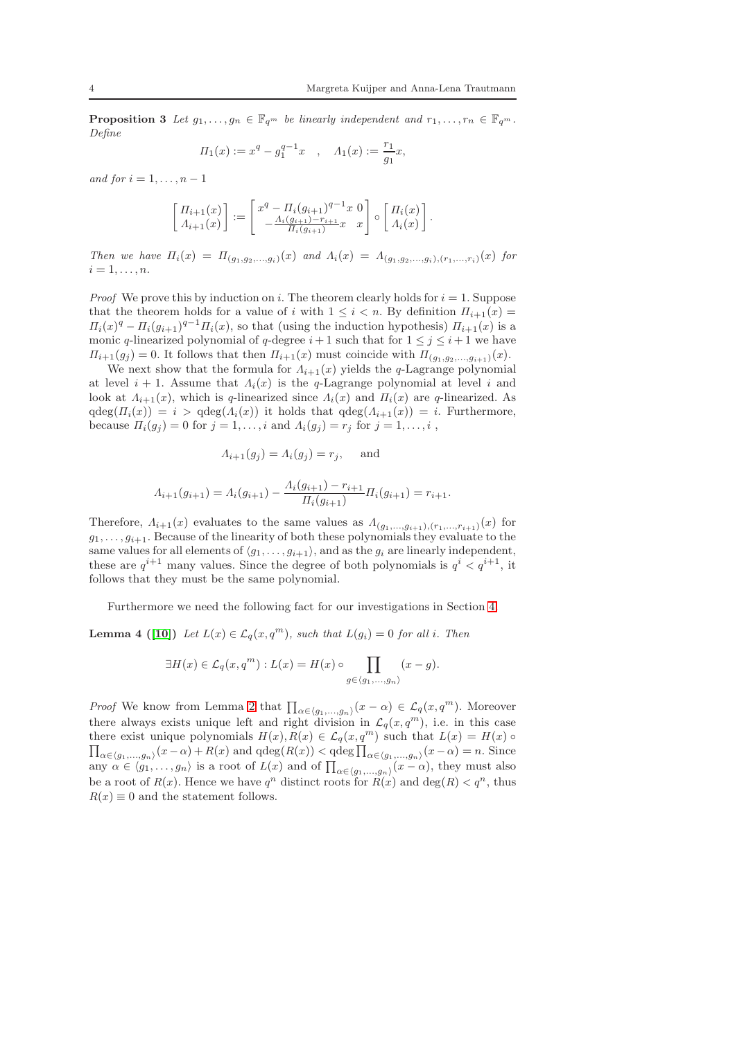**Proposition 3** Let  $g_1, \ldots, g_n \in \mathbb{F}_{q^m}$  be linearly independent and  $r_1, \ldots, r_n \in \mathbb{F}_{q^m}$ . Define

$$
\Pi_1(x) := x^q - g_1^{q-1} x \quad , \quad \Lambda_1(x) := \frac{r_1}{g_1} x,
$$

and for  $i = 1, \ldots, n - 1$ 

$$
\begin{bmatrix} \Pi_{i+1}(x) \\ \Lambda_{i+1}(x) \end{bmatrix} := \begin{bmatrix} x^q - \Pi_i (g_{i+1})^{q-1} x & 0 \\ -\frac{\Lambda_i (g_{i+1}) - r_{i+1}}{\Pi_i (g_{i+1})} x & x \end{bmatrix} \circ \begin{bmatrix} \Pi_i(x) \\ \Lambda_i(x) \end{bmatrix}.
$$

Then we have  $\Pi_i(x) = \Pi_{(g_1, g_2,...,g_i)}(x)$  and  $\Lambda_i(x) = \Lambda_{(g_1, g_2,...,g_i),(r_1,...,r_i)}(x)$  for  $i=1,\ldots,n$ .

*Proof* We prove this by induction on i. The theorem clearly holds for  $i = 1$ . Suppose that the theorem holds for a value of i with  $1 \leq i \leq n$ . By definition  $\Pi_{i+1}(x) =$  $\Pi_i(x)^q - \Pi_i(g_{i+1})^{q-1} \Pi_i(x)$ , so that (using the induction hypothesis)  $\Pi_{i+1}(x)$  is a monic q-linearized polynomial of q-degree  $i+1$  such that for  $1 \leq j \leq i+1$  we have  $\Pi_{i+1}(g_j) = 0$ . It follows that then  $\Pi_{i+1}(x)$  must coincide with  $\Pi_{(g_1, g_2, \ldots, g_{i+1})}(x)$ .

We next show that the formula for  $\Lambda_{i+1}(x)$  yields the q-Lagrange polynomial at level  $i + 1$ . Assume that  $\Lambda_i(x)$  is the q-Lagrange polynomial at level i and look at  $\Lambda_{i+1}(x)$ , which is q-linearized since  $\Lambda_i(x)$  and  $\Pi_i(x)$  are q-linearized. As  $qdeg(\Pi_i(x)) = i > qdeg(\Lambda_i(x))$  it holds that  $qdeg(\Lambda_{i+1}(x)) = i$ . Furthermore, because  $\Pi_i(g_i) = 0$  for  $j = 1, \ldots, i$  and  $\Lambda_i(g_i) = r_j$  for  $j = 1, \ldots, i$ ,

$$
A_{i+1}(g_j) = A_i(g_j) = r_j, \quad \text{and}
$$

$$
\Lambda_{i+1}(g_{i+1}) = \Lambda_i(g_{i+1}) - \frac{\Lambda_i(g_{i+1}) - r_{i+1}}{\Pi_i(g_{i+1})} \Pi_i(g_{i+1}) = r_{i+1}.
$$

Therefore,  $\Lambda_{i+1}(x)$  evaluates to the same values as  $\Lambda_{(g_1,...,g_{i+1}), (r_1,...,r_{i+1})}(x)$  for  $g_1, \ldots, g_{i+1}$ . Because of the linearity of both these polynomials they evaluate to the same values for all elements of  $\langle g_1, \ldots, g_{i+1} \rangle$ , and as the  $g_i$  are linearly independent, these are  $q^{i+1}$  many values. Since the degree of both polynomials is  $q^i < q^{i+1}$ , it follows that they must be the same polynomial.

<span id="page-3-0"></span>Furthermore we need the following fact for our investigations in Section [4.](#page-8-0)

**Lemma 4** ([\[10\]](#page-22-11)) Let  $L(x) \in \mathcal{L}_q(x,q^m)$ , such that  $L(q_i) = 0$  for all i. Then

$$
\exists H(x) \in \mathcal{L}_q(x, q^m) : L(x) = H(x) \circ \prod_{g \in \langle g_1, \dots, g_n \rangle} (x - g).
$$

*Proof* We know from Lemma [2](#page-2-0) that  $\prod_{\alpha \in \langle g_1,...,g_n \rangle}(x - \alpha) \in \mathcal{L}_q(x, q^m)$ . Moreover there always exists unique left and right division in  $\mathcal{L}_q(x, q^m)$ , i.e. in this case there exist unique polynomials  $H(x), R(x) \in \mathcal{L}_q(x, q^m)$  such that  $L(x) = H(x)$  $\prod_{\alpha \in (g_1,...,g_n)} (x - \alpha) + R(x)$  and  $qdeg(R(x)) < qdeg \prod_{\alpha \in (g_1,...,g_n)} (x - \alpha) = n$ . Since any  $\alpha \in \langle g_1, \ldots, g_n \rangle$  is a root of  $L(x)$  and of  $\prod_{\alpha \in \langle g_1, \ldots, g_n \rangle} (x - \alpha)$ , they must also be a root of  $R(x)$ . Hence we have  $q^n$  distinct roots for  $R(x)$  and  $\deg(R) < q^n$ , thus  $R(x) \equiv 0$  and the statement follows.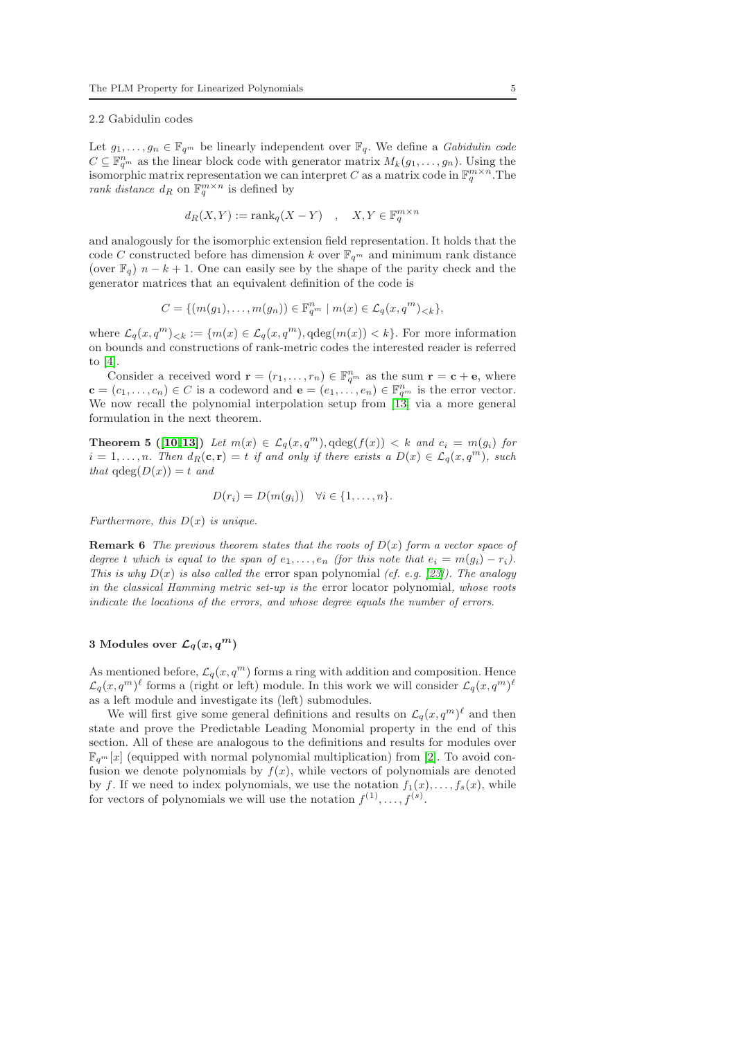### 2.2 Gabidulin codes

Let  $g_1, \ldots, g_n \in \mathbb{F}_{q^m}$  be linearly independent over  $\mathbb{F}_q$ . We define a *Gabidulin code*  $C \subseteq \mathbb{F}_{q^m}^n$  as the linear block code with generator matrix  $M_k(g_1, \ldots, g_n)$ . Using the isomorphic matrix representation we can interpret C as a matrix code in  $\mathbb{F}_q^{m \times n}$ . The rank distance  $d_R$  on  $\mathbb{F}_q^{m \times n}$  is defined by

$$
d_R(X, Y) := \text{rank}_q(X - Y) \quad , \quad X, Y \in \mathbb{F}_q^{m \times n}
$$

and analogously for the isomorphic extension field representation. It holds that the code C constructed before has dimension k over  $\mathbb{F}_{q^m}$  and minimum rank distance (over  $\mathbb{F}_q$ )  $n - k + 1$ . One can easily see by the shape of the parity check and the generator matrices that an equivalent definition of the code is

$$
C = \{ (m(g_1), \ldots, m(g_n)) \in \mathbb{F}_{q^m}^n \mid m(x) \in \mathcal{L}_q(x, q^m)_{< k} \},
$$

where  $\mathcal{L}_q(x,q^m)_{< k} := \{m(x) \in \mathcal{L}_q(x,q^m), \text{qdeg}(m(x)) < k\}.$  For more information on bounds and constructions of rank-metric codes the interested reader is referred to [\[4\]](#page-22-1).

Consider a received word  $\mathbf{r} = (r_1, \ldots, r_n) \in \mathbb{F}_{q^m}^n$  as the sum  $\mathbf{r} = \mathbf{c} + \mathbf{e}$ , where  $\mathbf{c} = (c_1, \ldots, c_n) \in C$  is a codeword and  $\mathbf{e} = (e_1, \ldots, e_n) \in \mathbb{F}_{q^m}^n$  is the error vector. We now recall the polynomial interpolation setup from [\[13\]](#page-22-5) via a more general formulation in the next theorem.

<span id="page-4-1"></span>**Theorem 5** ([\[10,](#page-22-11)13]) Let  $m(x) \in \mathcal{L}_q(x,q^m)$ ,  $\deg(f(x)) < k$  and  $c_i = m(g_i)$  for  $i = 1, \ldots, n$ . Then  $d_R(c, r) = t$  if and only if there exists a  $D(x) \in \mathcal{L}_q(x, q^m)$ , such that  $qdeg(D(x)) = t$  and

$$
D(r_i) = D(m(g_i)) \quad \forall i \in \{1, \ldots, n\}.
$$

Furthermore, this  $D(x)$  is unique.

**Remark 6** The previous theorem states that the roots of  $D(x)$  form a vector space of degree t which is equal to the span of  $e_1, \ldots, e_n$  (for this note that  $e_i = m(g_i) - r_i$ ). This is why  $D(x)$  is also called the error span polynomial (cf. e.g. [\[23\]](#page-23-10)). The analogy in the classical Hamming metric set-up is the error locator polynomial, whose roots indicate the locations of the errors, and whose degree equals the number of errors.

# <span id="page-4-0"></span>3 Modules over  $\mathcal{L}_q(x, q^m)$

As mentioned before,  $\mathcal{L}_q(x, q^m)$  forms a ring with addition and composition. Hence  $\mathcal{L}_q(x,q^m)^\ell$  forms a (right or left) module. In this work we will consider  $\mathcal{L}_q(x,q^m)^\ell$ as a left module and investigate its (left) submodules.

We will first give some general definitions and results on  $\mathcal{L}_q(x, q^m)^\ell$  and then state and prove the Predictable Leading Monomial property in the end of this section. All of these are analogous to the definitions and results for modules over  $\mathbb{F}_{q^m}[x]$  (equipped with normal polynomial multiplication) from [\[2\]](#page-22-12). To avoid confusion we denote polynomials by  $f(x)$ , while vectors of polynomials are denoted by f. If we need to index polynomials, we use the notation  $f_1(x), \ldots, f_s(x)$ , while for vectors of polynomials we will use the notation  $f^{(1)},...,f^{(s)}$ .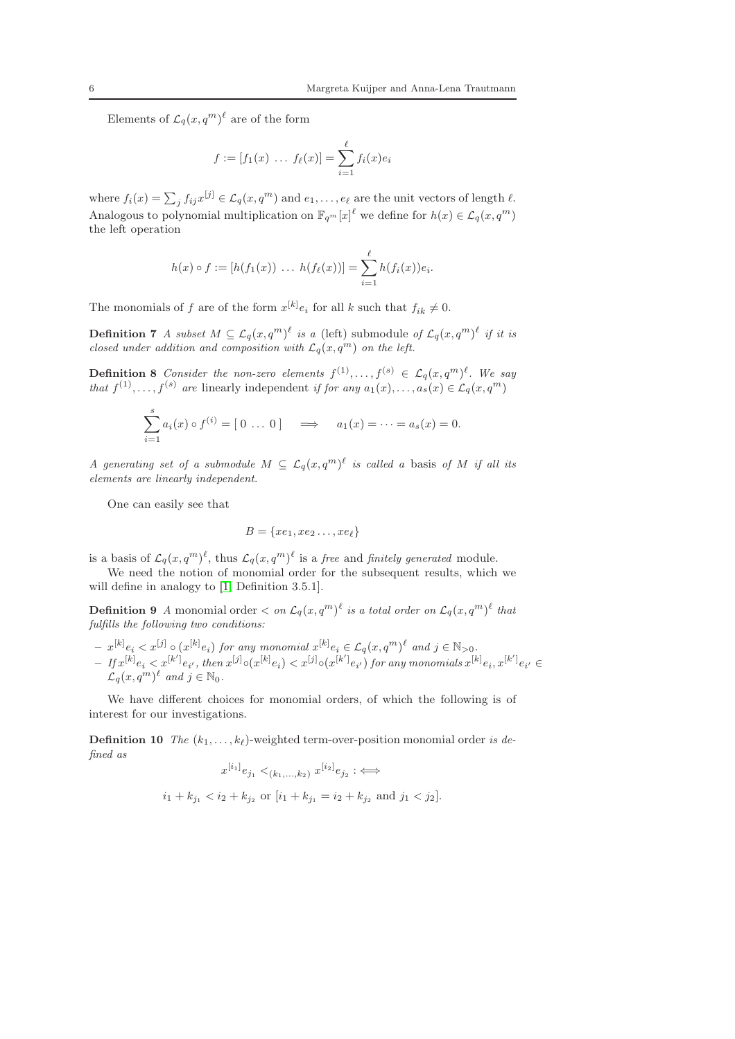Elements of  $\mathcal{L}_q(x,q^m)^\ell$  are of the form

$$
f := [f_1(x) \dots f_{\ell}(x)] = \sum_{i=1}^{\ell} f_i(x)e_i
$$

where  $f_i(x) = \sum_j f_{ij}x^{[j]} \in \mathcal{L}_q(x, q^m)$  and  $e_1, \ldots, e_\ell$  are the unit vectors of length  $\ell$ . Analogous to polynomial multiplication on  $\mathbb{F}_{q^m}[x]^{\ell}$  we define for  $h(x) \in \mathcal{L}_q(x, q^m)$ the left operation

$$
h(x) \circ f := [h(f_1(x)) \ \dots \ h(f_\ell(x))] = \sum_{i=1}^\ell h(f_i(x))e_i.
$$

The monomials of f are of the form  $x^{[k]}e_i$  for all k such that  $f_{ik} \neq 0$ .

**Definition 7** A subset  $M \subseteq \mathcal{L}_q(x,q^m)^\ell$  is a (left) submodule of  $\mathcal{L}_q(x,q^m)^\ell$  if it is closed under addition and composition with  $\mathcal{L}_q(x, q^m)$  on the left.

**Definition 8** Consider the non-zero elements  $f^{(1)},..., f^{(s)} \in \mathcal{L}_q(x,q^m)^{\ell}$ . We say that  $f^{(1)}, \ldots, f^{(s)}$  are linearly independent if for any  $a_1(x), \ldots, a_s(x) \in \mathcal{L}_q(x, q^m)$ 

$$
\sum_{i=1}^{s} a_i(x) \circ f^{(i)} = [0 \dots 0] \implies a_1(x) = \dots = a_s(x) = 0.
$$

A generating set of a submodule  $M \subseteq \mathcal{L}_q(x,q^m)^\ell$  is called a basis of M if all its elements are linearly independent.

One can easily see that

$$
B = \{xe_1, xe_2 \ldots, xe_{\ell}\}\
$$

is a basis of  $\mathcal{L}_q(x,q^m)^\ell$ , thus  $\mathcal{L}_q(x,q^m)^\ell$  is a free and finitely generated module.

We need the notion of monomial order for the subsequent results, which we will define in analogy to [\[1,](#page-22-13) Definition 3.5.1].

**Definition 9** A monomial order  $\langle$  on  $\mathcal{L}_q(x,q^m)^\ell$  is a total order on  $\mathcal{L}_q(x,q^m)^\ell$  that fulfills the following two conditions:

 $- x^{[k]} e_i < x^{[j]} \circ (x^{[k]} e_i)$  for any monomial  $x^{[k]} e_i \in \mathcal{L}_q(x,q^m)^\ell$  and  $j \in \mathbb{N}_{>0}$ .  $-I f x^{[k]} e_i < x^{[k']} e_{i'}$ , then  $x^{[j]} \circ (x^{[k]} e_i) < x^{[j]} \circ (x^{[k']} e_{i'})$  for any monomials  $x^{[k]} e_i, x^{[k']} e_{i'} \in$  $\mathcal{L}_q(x,q^m)^\ell$  and  $j \in \mathbb{N}_0$ .

We have different choices for monomial orders, of which the following is of interest for our investigations.

**Definition 10** The  $(k_1, \ldots, k_\ell)$ -weighted term-over-position monomial order is defined as  $[i_2]$ 

$$
x^{[i_1]}e_{j_1} <_{(k_1,\ldots,k_2)} x^{[i_2]}e_{j_2} : \iff
$$
  

$$
i_1 + k_{j_1} < i_2 + k_{j_2} \text{ or } [i_1 + k_{j_1} = i_2 + k_{j_2} \text{ and } j_1 < j_2].
$$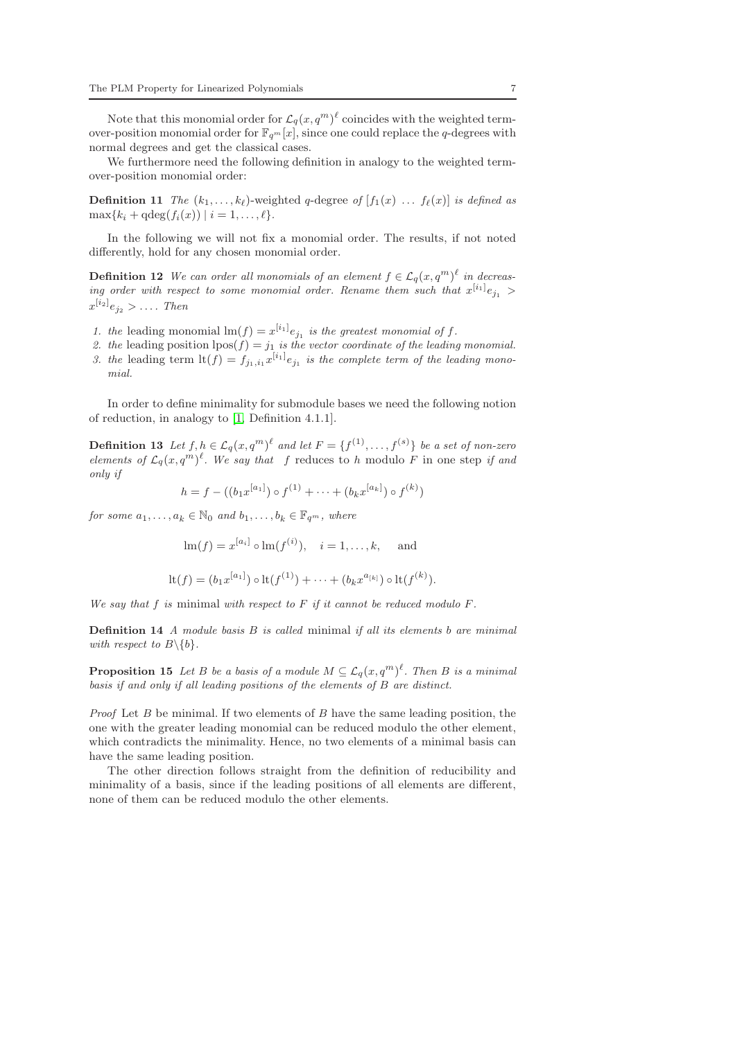Note that this monomial order for  $\mathcal{L}_q(x,q^m)^\ell$  coincides with the weighted termover-position monomial order for  $\mathbb{F}_{q^m}[x]$ , since one could replace the q-degrees with normal degrees and get the classical cases.

We furthermore need the following definition in analogy to the weighted termover-position monomial order:

**Definition 11** The  $(k_1, \ldots, k_\ell)$ -weighted q-degree of  $[f_1(x) \ldots f_\ell(x)]$  is defined as  $\max\{k_i + \deg(f_i(x)) \mid i = 1, \ldots, \ell\}.$ 

In the following we will not fix a monomial order. The results, if not noted differently, hold for any chosen monomial order.

**Definition 12** We can order all monomials of an element  $f \in \mathcal{L}_q(x, q^m)^{\ell}$  in decreasing order with respect to some monomial order. Rename them such that  $x^{[i_1]}e_{j_1}$  >  $x^{[i_2]}e_{j_2} > \ldots$  Then

- 1. the leading monomial  $\text{Im}(f) = x^{[i_1]}e_{j_1}$  is the greatest monomial of f.
- 2. the leading position  $\text{pos}(f) = j_1$  is the vector coordinate of the leading monomial.
- 3. the leading term  $\text{lt}(f) = f_{j_1,i_1} x^{[i_1]} e_{j_1}$  is the complete term of the leading monomial.

In order to define minimality for submodule bases we need the following notion of reduction, in analogy to [\[1,](#page-22-13) Definition 4.1.1].

**Definition 13** Let  $f, h \in \mathcal{L}_q(x, q^m)^\ell$  and let  $F = \{f^{(1)}, \ldots, f^{(s)}\}$  be a set of non-zero elements of  $\mathcal{L}_q(x,q^m)^\ell$ . We say that f reduces to h modulo F in one step if and only if

$$
h = f - ((b_1 x^{[a_1]}) \circ f^{(1)} + \dots + (b_k x^{[a_k]}) \circ f^{(k)})
$$

for some  $a_1, \ldots, a_k \in \mathbb{N}_0$  and  $b_1, \ldots, b_k \in \mathbb{F}_{q^m}$ , where

 $\mathrm{Im}(f) = x^{[a_i]} \circ \mathrm{Im}(f^{(i)}), \quad i = 1, \dots, k, \quad \text{and}$ 

$$
\mathrm{lt}(f) = (b_1 x^{[a_1]}) \circ \mathrm{lt}(f^{(1)}) + \cdots + (b_k x^{a_{[k]}}) \circ \mathrm{lt}(f^{(k)}).
$$

We say that f is minimal with respect to  $F$  if it cannot be reduced modulo  $F$ .

**Definition 14** A module basis  $B$  is called minimal if all its elements b are minimal with respect to  $B \setminus \{b\}$ .

<span id="page-6-0"></span>**Proposition 15** Let B be a basis of a module  $M \subseteq \mathcal{L}_q(x,q^m)^{\ell}$ . Then B is a minimal basis if and only if all leading positions of the elements of B are distinct.

*Proof* Let B be minimal. If two elements of B have the same leading position, the one with the greater leading monomial can be reduced modulo the other element, which contradicts the minimality. Hence, no two elements of a minimal basis can have the same leading position.

The other direction follows straight from the definition of reducibility and minimality of a basis, since if the leading positions of all elements are different, none of them can be reduced modulo the other elements.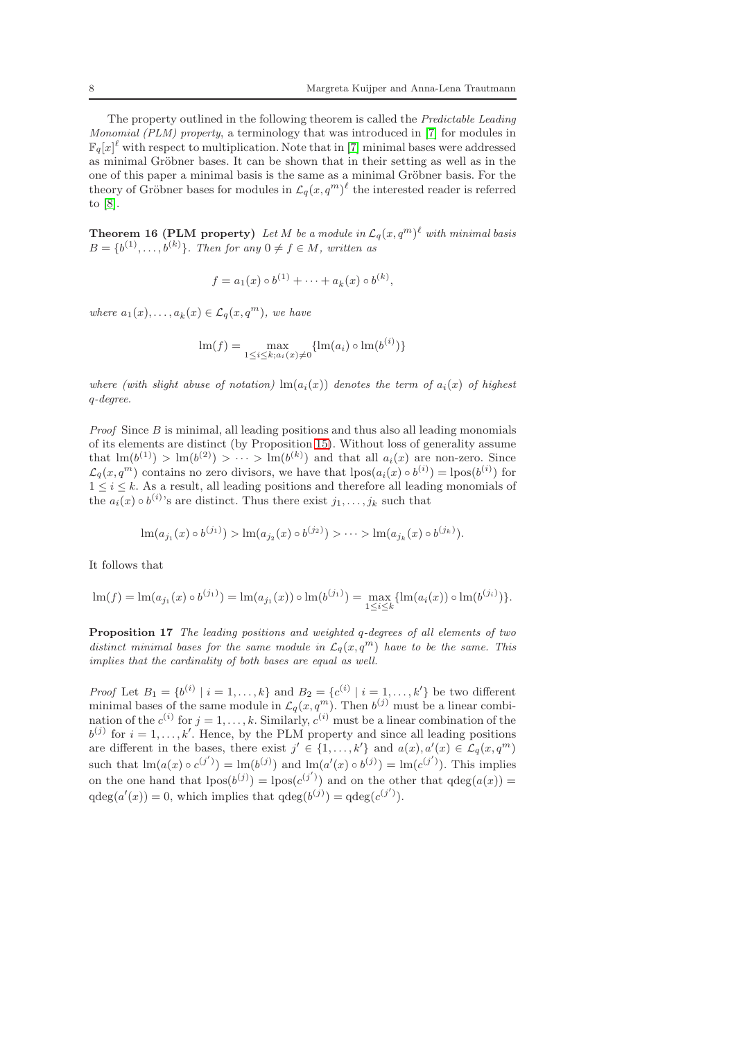The property outlined in the following theorem is called the Predictable Leading Monomial (PLM) property, a terminology that was introduced in [\[7\]](#page-22-14) for modules in  $\mathbb{F}_q[x]^\ell$  with respect to multiplication. Note that in [\[7\]](#page-22-14) minimal bases were addressed as minimal Gröbner bases. It can be shown that in their setting as well as in the one of this paper a minimal basis is the same as a minimal Gröbner basis. For the theory of Gröbner bases for modules in  $\mathcal{L}_q(x, q^m)^\ell$  the interested reader is referred to [\[8\]](#page-22-15).

<span id="page-7-0"></span>**Theorem 16 (PLM property)** Let M be a module in  $\mathcal{L}_q(x,q^m)^\ell$  with minimal basis  $B = \{b^{(1)}, \ldots, b^{(k)}\}$ . Then for any  $0 \neq f \in M$ , written as

$$
f = a_1(x) \circ b^{(1)} + \dots + a_k(x) \circ b^{(k)},
$$

where  $a_1(x), \ldots, a_k(x) \in \mathcal{L}_q(x,q^m)$ , we have

$$
\text{Im}(f) = \max_{1 \le i \le k; a_i(x) \neq 0} \{ \text{Im}(a_i) \circ \text{Im}(b^{(i)}) \}
$$

where (with slight abuse of notation)  $\text{Im}(a_i(x))$  denotes the term of  $a_i(x)$  of highest q-degree.

*Proof* Since  $B$  is minimal, all leading positions and thus also all leading monomials of its elements are distinct (by Proposition [15\)](#page-6-0). Without loss of generality assume that  $\mathrm{lm}(b^{(1)}) > \mathrm{lm}(b^{(2)}) > \cdots > \mathrm{lm}(b^{(k)})$  and that all  $a_i(x)$  are non-zero. Since  $\mathcal{L}_q(x,q^m)$  contains no zero divisors, we have that  $\text{lpos}(a_i(x) \circ b^{(i)}) = \text{lpos}(b^{(i)})$  for  $1 \leq i \leq k$ . As a result, all leading positions and therefore all leading monomials of the  $a_i(x) \circ b^{(i)}$ 's are distinct. Thus there exist  $j_1, \ldots, j_k$  such that

$$
\ln(a_{j_1}(x) \circ b^{(j_1)}) > \ln(a_{j_2}(x) \circ b^{(j_2)}) > \cdots > \ln(a_{j_k}(x) \circ b^{(j_k)}).
$$

It follows that

$$
\operatorname{lm}(f) = \operatorname{lm}(a_{j_1}(x) \circ b^{(j_1)}) = \operatorname{lm}(a_{j_1}(x)) \circ \operatorname{lm}(b^{(j_1)}) = \max_{1 \le i \le k} \{\operatorname{lm}(a_i(x)) \circ \operatorname{lm}(b^{(j_i)})\}.
$$

<span id="page-7-1"></span>Proposition 17 The leading positions and weighted q-degrees of all elements of two distinct minimal bases for the same module in  $\mathcal{L}_q(x,q^m)$  have to be the same. This implies that the cardinality of both bases are equal as well.

*Proof* Let  $B_1 = \{b^{(i)} \mid i = 1, ..., k\}$  and  $B_2 = \{c^{(i)} \mid i = 1, ..., k'\}$  be two different minimal bases of the same module in  $\mathcal{L}_q(x, q^m)$ . Then  $b^{(j)}$  must be a linear combination of the  $c^{(i)}$  for  $j = 1, ..., k$ . Similarly,  $c^{(i)}$  must be a linear combination of the  $b^{(j)}$  for  $i = 1, \ldots, k'$ . Hence, by the PLM property and since all leading positions are different in the bases, there exist  $j' \in \{1, ..., k'\}$  and  $a(x), a'(x) \in \mathcal{L}_q(x, q^m)$ such that  $\text{Im}(a(x) \circ c^{(j')}) = \text{Im}(b^{(j)})$  and  $\text{Im}(a'(x) \circ b^{(j)}) = \text{Im}(c^{(j')})$ . This implies on the one hand that  $lpos(b^{(j)}) = lpos(c^{(j')})$  and on the other that  $qdeg(a(x)) =$  $qdeg(a'(x)) = 0$ , which implies that  $qdeg(b^{(j)}) = qdeg(c^{(j')})$ .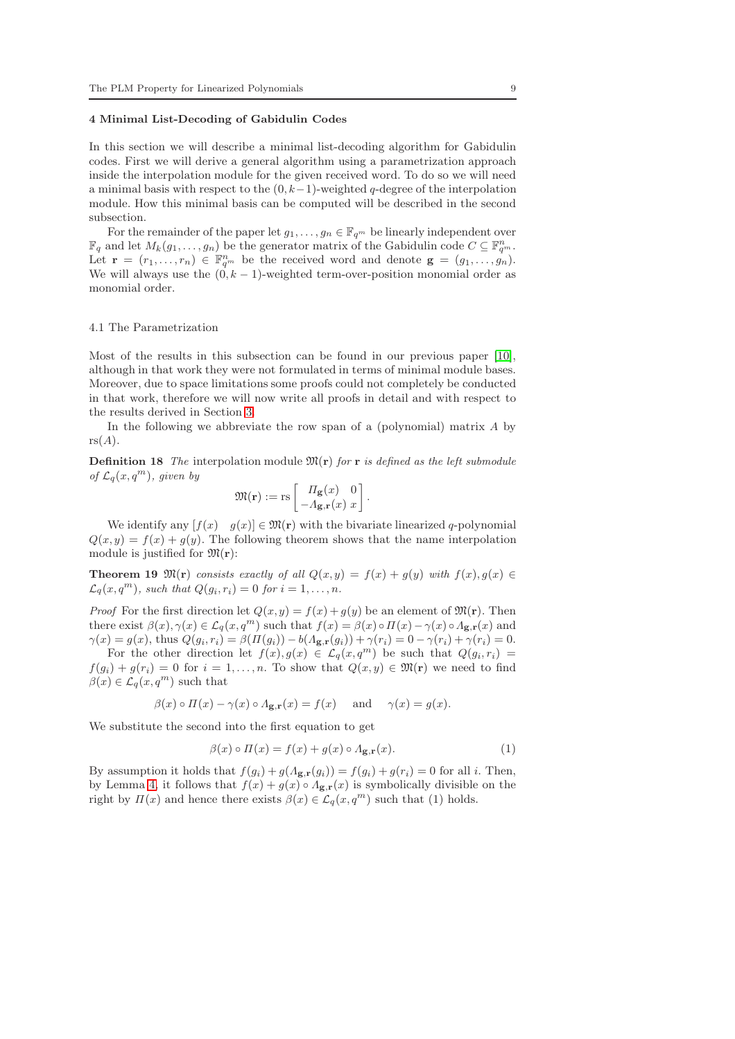#### <span id="page-8-0"></span>4 Minimal List-Decoding of Gabidulin Codes

In this section we will describe a minimal list-decoding algorithm for Gabidulin codes. First we will derive a general algorithm using a parametrization approach inside the interpolation module for the given received word. To do so we will need a minimal basis with respect to the  $(0, k-1)$ -weighted q-degree of the interpolation module. How this minimal basis can be computed will be described in the second subsection.

For the remainder of the paper let  $g_1, \ldots, g_n \in \mathbb{F}_{q^m}$  be linearly independent over  $\mathbb{F}_q$  and let  $M_k(g_1,\ldots,g_n)$  be the generator matrix of the Gabidulin code  $C \subseteq \mathbb{F}_{q^m}^n$ . Let  $\mathbf{r} = (r_1, \ldots, r_n) \in \mathbb{F}_{q^m}^n$  be the received word and denote  $\mathbf{g} = (g_1, \ldots, g_n)$ . We will always use the  $(0, k - 1)$ -weighted term-over-position monomial order as monomial order.

#### 4.1 The Parametrization

Most of the results in this subsection can be found in our previous paper [\[10\]](#page-22-11), although in that work they were not formulated in terms of minimal module bases. Moreover, due to space limitations some proofs could not completely be conducted in that work, therefore we will now write all proofs in detail and with respect to the results derived in Section [3.](#page-4-0)

In the following we abbreviate the row span of a (polynomial) matrix A by  $rs(A).$ 

**Definition 18** The interpolation module  $\mathfrak{M}(\mathbf{r})$  for **r** is defined as the left submodule of  $\mathcal{L}_q(x,q^m)$ , given by

$$
\mathfrak{M}(\mathbf{r}) := \text{rs}\left[\begin{array}{cc} \varPi_{\mathbf{g}}(x) & 0\\ -\varLambda_{\mathbf{g},\mathbf{r}}(x) & x \end{array}\right]
$$

We identify any  $[f(x) \quad g(x)] \in \mathfrak{M}(\mathbf{r})$  with the bivariate linearized q-polynomial  $Q(x, y) = f(x) + g(y)$ . The following theorem shows that the name interpolation module is justified for  $\mathfrak{M}(\mathbf{r})$ :

<span id="page-8-1"></span>**Theorem 19**  $\mathfrak{M}(\mathbf{r})$  consists exactly of all  $Q(x, y) = f(x) + g(y)$  with  $f(x), g(x) \in$  $\mathcal{L}_q(x,q^m)$ , such that  $Q(g_i,r_i)=0$  for  $i=1,\ldots,n$ .

*Proof* For the first direction let  $Q(x, y) = f(x) + g(y)$  be an element of  $\mathfrak{M}(r)$ . Then there exist  $\beta(x), \gamma(x) \in \mathcal{L}_q(x, q^m)$  such that  $f(x) = \beta(x) \circ \Pi(x) - \gamma(x) \circ \Lambda_{g,r}(x)$  and  $\gamma(x) = g(x)$ , thus  $Q(g_i, r_i) = \beta(\Pi(g_i)) - b(A_{\mathbf{g},\mathbf{r}}(g_i)) + \gamma(r_i) = 0 - \gamma(r_i) + \gamma(r_i) = 0.$ 

For the other direction let  $f(x), g(x) \in \mathcal{L}_q(x,q^m)$  be such that  $Q(g_i,r_i) =$  $f(g_i) + g(r_i) = 0$  for  $i = 1, ..., n$ . To show that  $Q(x, y) \in \mathfrak{M}(\mathbf{r})$  we need to find  $\beta(x) \in \mathcal{L}_q(x,q^m)$  such that

$$
\beta(x) \circ \Pi(x) - \gamma(x) \circ A_{\mathbf{g},\mathbf{r}}(x) = f(x) \quad \text{and} \quad \gamma(x) = g(x).
$$

We substitute the second into the first equation to get

$$
\beta(x) \circ \Pi(x) = f(x) + g(x) \circ \Lambda_{\mathbf{g},\mathbf{r}}(x). \tag{1}
$$

.

By assumption it holds that  $f(g_i) + g(\Lambda_{\mathbf{g},\mathbf{r}}(g_i)) = f(g_i) + g(r_i) = 0$  for all i. Then, by Lemma [4,](#page-3-0) it follows that  $f(x) + g(x) \circ A_{g,r}(x)$  is symbolically divisible on the right by  $\Pi(x)$  and hence there exists  $\beta(x) \in \mathcal{L}_q(x, q^m)$  such that (1) holds.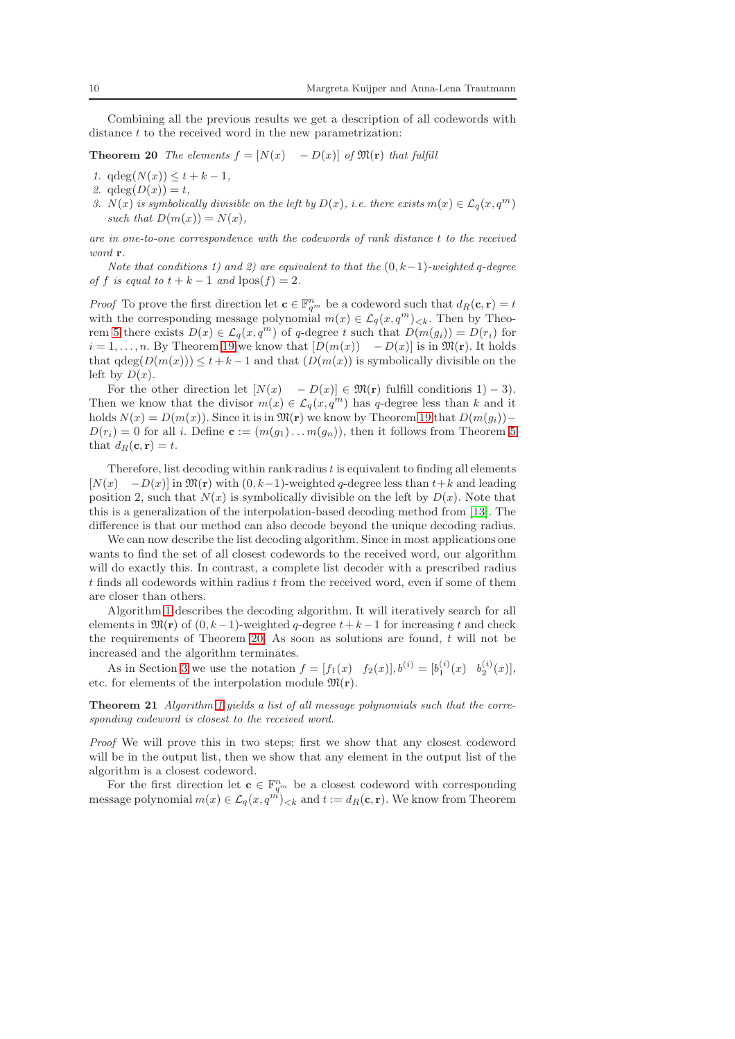<span id="page-9-0"></span>Combining all the previous results we get a description of all codewords with distance t to the received word in the new parametrization:

**Theorem 20** The elements  $f = [N(x) - D(x)]$  of  $\mathfrak{M}(\mathbf{r})$  that fulfill

- 1.  $qdeg(N(x)) \leq t + k 1$ ,
- 2.  $qdeg(D(x)) = t$ ,
- 3. N(x) is symbolically divisible on the left by  $D(x)$ , i.e. there exists  $m(x) \in \mathcal{L}_q(x,q^m)$ such that  $D(m(x)) = N(x)$ ,

are in one-to-one correspondence with the codewords of rank distance t to the received word r.

Note that conditions 1) and 2) are equivalent to that the  $(0, k-1)$ -weighted q-degree of f is equal to  $t + k - 1$  and  $\text{pos}(f) = 2$ .

*Proof* To prove the first direction let  $\mathbf{c} \in \mathbb{F}_{q^m}^n$  be a codeword such that  $d_R(\mathbf{c}, \mathbf{r}) = t$ with the corresponding message polynomial  $m(x) \in \mathcal{L}_q(x, q^m)_{< k}$ . Then by Theo-rem [5](#page-4-1) there exists  $D(x) \in \mathcal{L}_q(x, q^m)$  of q-degree t such that  $D(m(g_i)) = D(r_i)$  for  $i = 1, \ldots, n$ . By Theorem [19](#page-8-1) we know that  $[D(m(x)) - D(x)]$  is in  $\mathfrak{M}(\mathbf{r})$ . It holds that  $\deg(D(m(x))) \leq t+k-1$  and that  $(D(m(x)))$  is symbolically divisible on the left by  $D(x)$ .

For the other direction let  $[N(x) - D(x)] \in \mathfrak{M}(\mathbf{r})$  fulfill conditions 1) – 3). Then we know that the divisor  $m(x) \in \mathcal{L}_q(x, q^m)$  has q-degree less than k and it holds  $N(x) = D(m(x))$ . Since it is in  $\mathfrak{M}(\mathbf{r})$  we know by Theorem [19](#page-8-1) that  $D(m(g_i))$ −  $D(r_i) = 0$  for all i. Define  $\mathbf{c} := (m(g_1) \dots m(g_n))$ , then it follows from Theorem [5](#page-4-1) that  $d_R(c, r) = t$ .

Therefore, list decoding within rank radius  $t$  is equivalent to finding all elements  $[N(x) - D(x)]$  in  $\mathfrak{M}(\mathbf{r})$  with  $(0, k-1)$ -weighted q-degree less than  $t+k$  and leading position 2, such that  $N(x)$  is symbolically divisible on the left by  $D(x)$ . Note that this is a generalization of the interpolation-based decoding method from [\[13\]](#page-22-5). The difference is that our method can also decode beyond the unique decoding radius.

We can now describe the list decoding algorithm. Since in most applications one wants to find the set of all closest codewords to the received word, our algorithm will do exactly this. In contrast, a complete list decoder with a prescribed radius  $t$  finds all codewords within radius  $t$  from the received word, even if some of them are closer than others.

Algorithm [1](#page-10-0) describes the decoding algorithm. It will iteratively search for all elements in  $\mathfrak{M}(\mathbf{r})$  of  $(0, k-1)$ -weighted q-degree  $t+k-1$  for increasing t and check the requirements of Theorem [20.](#page-9-0) As soon as solutions are found,  $t$  will not be increased and the algorithm terminates.

As in Section [3](#page-4-0) we use the notation  $f = [f_1(x) \ f_2(x)], b^{(i)} = [b_1^{(i)}(x) \ b_2^{(i)}(x)],$ etc. for elements of the interpolation module  $\mathfrak{M}(\mathbf{r})$ .

Theorem 21 Algorithm [1](#page-10-0) yields a list of all message polynomials such that the corresponding codeword is closest to the received word.

Proof We will prove this in two steps; first we show that any closest codeword will be in the output list, then we show that any element in the output list of the algorithm is a closest codeword.

For the first direction let  $\mathbf{c} \in \mathbb{F}_{q^m}^n$  be a closest codeword with corresponding message polynomial  $m(x) \in \mathcal{L}_q(x, q^m)_{< k}$  and  $t := d_R(\mathbf{c}, \mathbf{r})$ . We know from Theorem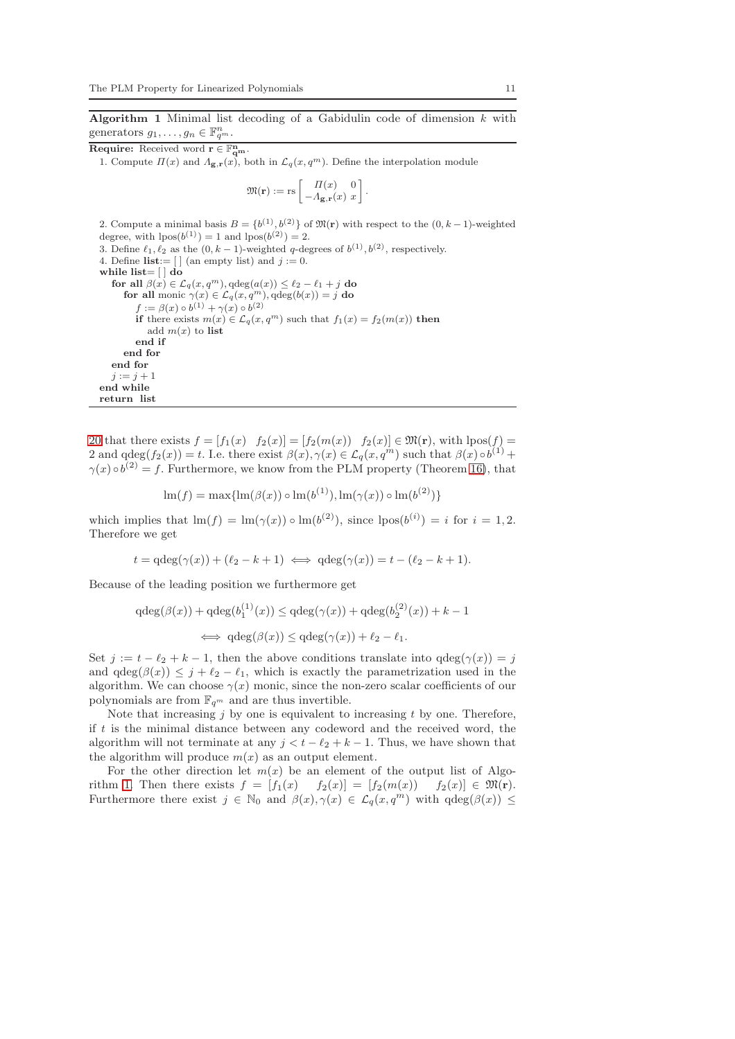<span id="page-10-0"></span>Algorithm 1 Minimal list decoding of a Gabidulin code of dimension  $k$  with generators  $g_1, \ldots, g_n \in \mathbb{F}_{q^m}^n$ .

**Require:** Received word  $\mathbf{r} \in \mathbb{F}_{q^m}^n$ .

1. Compute  $\Pi(x)$  and  $\Lambda_{\mathbf{g},\mathbf{r}}(x)$ , both in  $\mathcal{L}_q(x,q^m)$ . Define the interpolation module

$$
\mathfrak{M}(\mathbf{r}) := \text{rs}\left[\begin{array}{cc} \varPi(x) & 0\\ -\varLambda_{\mathbf{g},\mathbf{r}}(x) & x \end{array}\right]
$$

.

2. Compute a minimal basis  $B = \{b^{(1)}, b^{(2)}\}$  of  $\mathfrak{M}(\mathbf{r})$  with respect to the  $(0, k-1)$ -weighted degree, with  $lpos(b^{(1)}) = 1$  and  $lpos(b^{(2)}) = 2$ . 3. Define  $\ell_1, \ell_2$  as the  $(0, k-1)$ -weighted q-degrees of  $b^{(1)}, b^{(2)}$ , respectively. 4. Define  $\textbf{list} := [ ]$  (an empty list) and  $j := 0$ . while list= $\lceil \, \vert$  do for all  $\beta(x) \in \mathcal{L}_q(x, q^m)$ ,  $\deg(a(x)) \leq \ell_2 - \ell_1 + j$  do for all monic  $\gamma(x) \in \mathcal{L}_q(x, q^m)$ ,  $qdeg(b(x)) = j$  do  $f := \beta(x) \circ b^{(1)} + \gamma(x) \circ b^{(2)}$ if there exists  $m(x) \in \mathcal{L}_q(x, q^m)$  such that  $f_1(x) = f_2(m(x))$  then add  $m(x)$  to list end if end for end for  $j := j + 1$ end while return list

[20](#page-9-0) that there exists  $f = [f_1(x) \ f_2(x)] = [f_2(m(x)) \ f_2(x)] \in \mathfrak{M}(\mathbf{r})$ , with  $\text{pos}(f) =$ 2 and  $qdeg(f_2(x)) = t$ . I.e. there exist  $\beta(x), \gamma(x) \in \mathcal{L}_q(x, q^m)$  such that  $\beta(x) \circ b^{(1)} +$  $\gamma(x) \circ b^{(2)} = f$ . Furthermore, we know from the PLM property (Theorem [16\)](#page-7-0), that

$$
\text{Im}(f) = \max{\{\ln(\beta(x)) \circ \ln(b^{(1)}), \ln(\gamma(x)) \circ \ln(b^{(2)})\}}
$$

which implies that  $\text{Im}(f) = \text{Im}(\gamma(x)) \circ \text{Im}(b^{(2)})$ , since  $\text{pos}(b^{(i)}) = i$  for  $i = 1, 2$ . Therefore we get

 $t = \deg(\gamma(x)) + (\ell_2 - k + 1) \iff \deg(\gamma(x)) = t - (\ell_2 - k + 1).$ 

Because of the leading position we furthermore get

$$
qdeg(\beta(x)) + qdeg(b_1^{(1)}(x)) \leq qdeg(\gamma(x)) + qdeg(b_2^{(2)}(x)) + k - 1
$$
  

$$
\iff qdeg(\beta(x)) \leq qdeg(\gamma(x)) + \ell_2 - \ell_1.
$$

Set  $j := t - \ell_2 + k - 1$ , then the above conditions translate into  $q \deg(\gamma(x)) = j$ and  $qdeg(\beta(x)) \leq j + \ell_2 - \ell_1$ , which is exactly the parametrization used in the algorithm. We can choose  $\gamma(x)$  monic, since the non-zero scalar coefficients of our polynomials are from  $\mathbb{F}_{q^m}$  and are thus invertible.

Note that increasing  $j$  by one is equivalent to increasing  $t$  by one. Therefore, if  $t$  is the minimal distance between any codeword and the received word, the algorithm will not terminate at any  $j < t - \ell_2 + k - 1$ . Thus, we have shown that the algorithm will produce  $m(x)$  as an output element.

For the other direction let  $m(x)$  be an element of the output list of Algo-rithm [1.](#page-10-0) Then there exists  $f = [f_1(x) \quad f_2(x)] = [f_2(m(x)) \quad f_2(x)] \in \mathfrak{M}(\mathbf{r}).$ Furthermore there exist  $j \in \mathbb{N}_0$  and  $\beta(x), \gamma(x) \in \mathcal{L}_q(x, q^m)$  with  $qdeg(\beta(x)) \leq$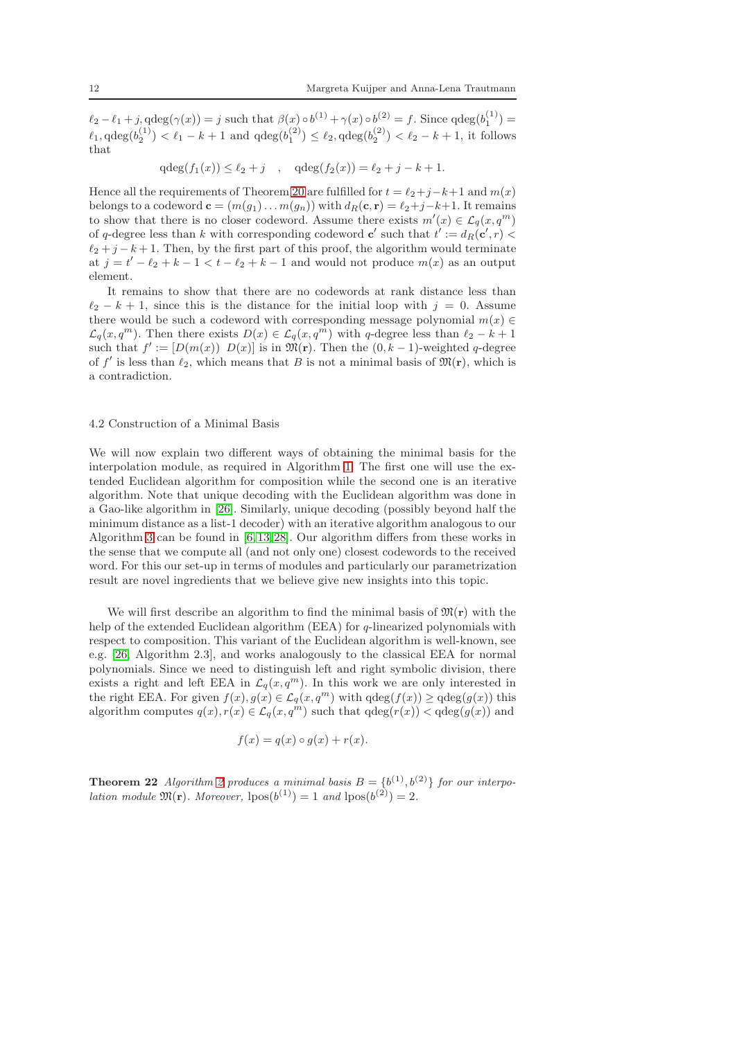$\ell_2 - \ell_1 + j$ ,  $\deg(\gamma(x)) = j$  such that  $\beta(x) \circ b^{(1)} + \gamma(x) \circ b^{(2)} = f$ . Since  $q \deg(b_1^{(1)}) =$  $\ell_1, \text{qdeg}(b_2^{(1)}) < \ell_1 - k + 1$  and  $\text{qdeg}(b_1^{(2)}) \leq \ell_2, \text{qdeg}(b_2^{(2)}) < \ell_2 - k + 1$ , it follows that

 $qdeg(f_1(x)) \leq \ell_2 + j$ ,  $qdeg(f_2(x)) = \ell_2 + j - k + 1$ .

Hence all the requirements of Theorem [20](#page-9-0) are fulfilled for  $t = \ell_2 + j - k + 1$  and  $m(x)$ belongs to a codeword  $\mathbf{c} = (m(g_1) \dots m(g_n))$  with  $d_R(\mathbf{c}, \mathbf{r}) = \ell_2 + j - k + 1$ . It remains to show that there is no closer codeword. Assume there exists  $m'(x) \in \mathcal{L}_q(x, q^m)$ of q-degree less than k with corresponding codeword  $c'$  such that  $t' := d_R(c', r)$  $\ell_2 + j - k + 1$ . Then, by the first part of this proof, the algorithm would terminate at  $j = t' - \ell_2 + k - 1 < t - \ell_2 + k - 1$  and would not produce  $m(x)$  as an output element.

It remains to show that there are no codewords at rank distance less than  $\ell_2 - k + 1$ , since this is the distance for the initial loop with  $j = 0$ . Assume there would be such a codeword with corresponding message polynomial  $m(x) \in$  $\mathcal{L}_q(x, q^m)$ . Then there exists  $D(x) \in \mathcal{L}_q(x, q^m)$  with q-degree less than  $\ell_2 - k + 1$ such that  $f' := [D(m(x)) \ D(x)]$  is in  $\mathfrak{M}(\mathbf{r})$ . Then the  $(0, k-1)$ -weighted q-degree of f' is less than  $\ell_2$ , which means that B is not a minimal basis of  $\mathfrak{M}(\mathbf{r})$ , which is a contradiction.

# 4.2 Construction of a Minimal Basis

We will now explain two different ways of obtaining the minimal basis for the interpolation module, as required in Algorithm [1.](#page-10-0) The first one will use the extended Euclidean algorithm for composition while the second one is an iterative algorithm. Note that unique decoding with the Euclidean algorithm was done in a Gao-like algorithm in [\[26\]](#page-23-9). Similarly, unique decoding (possibly beyond half the minimum distance as a list-1 decoder) with an iterative algorithm analogous to our Algorithm [3](#page-16-0) can be found in [\[6,](#page-22-0) [13,](#page-22-5) [28\]](#page-23-7). Our algorithm differs from these works in the sense that we compute all (and not only one) closest codewords to the received word. For this our set-up in terms of modules and particularly our parametrization result are novel ingredients that we believe give new insights into this topic.

We will first describe an algorithm to find the minimal basis of  $\mathfrak{M}(\mathbf{r})$  with the help of the extended Euclidean algorithm (EEA) for  $q$ -linearized polynomials with respect to composition. This variant of the Euclidean algorithm is well-known, see e.g. [\[26,](#page-23-9) Algorithm 2.3], and works analogously to the classical EEA for normal polynomials. Since we need to distinguish left and right symbolic division, there exists a right and left EEA in  $\mathcal{L}_q(x, q^m)$ . In this work we are only interested in the right EEA. For given  $f(x), g(x) \in \mathcal{L}_q(x, q^m)$  with  $qdeg(f(x)) \geq qdeg(g(x))$  this algorithm computes  $q(x)$ ,  $r(x) \in \mathcal{L}_q(x, q^m)$  such that  $qdeg(r(x)) < qdeg(q(x))$  and

$$
f(x) = q(x) \circ g(x) + r(x).
$$

**Theorem [2](#page-12-0)2** Algorithm 2 produces a minimal basis  $B = \{b^{(1)}, b^{(2)}\}$  for our interpolation module  $\mathfrak{M}(\mathbf{r})$ . Moreover,  $\text{lpos}(b^{(1)}) = 1$  and  $\text{lpos}(b^{(2)}) = 2$ .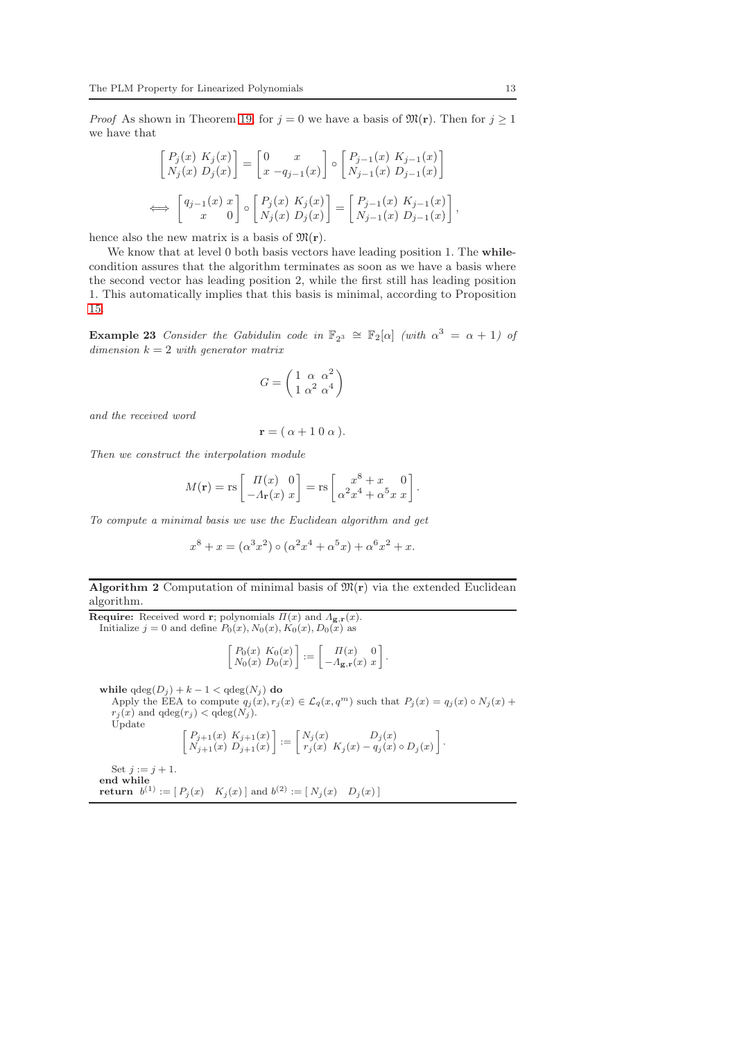*Proof* As shown in Theorem [19,](#page-8-1) for  $j = 0$  we have a basis of  $\mathfrak{M}(\mathbf{r})$ . Then for  $j \geq 1$ we have that

$$
\begin{bmatrix} P_j(x) K_j(x) \\ N_j(x) D_j(x) \end{bmatrix} = \begin{bmatrix} 0 & x \\ x - q_{j-1}(x) \end{bmatrix} \circ \begin{bmatrix} P_{j-1}(x) K_{j-1}(x) \\ N_{j-1}(x) D_{j-1}(x) \end{bmatrix}
$$
  

$$
\iff \begin{bmatrix} q_{j-1}(x) x \\ x \end{bmatrix} \circ \begin{bmatrix} P_j(x) K_j(x) \\ N_j(x) D_j(x) \end{bmatrix} = \begin{bmatrix} P_{j-1}(x) K_{j-1}(x) \\ N_{j-1}(x) D_{j-1}(x) \end{bmatrix},
$$

hence also the new matrix is a basis of  $\mathfrak{M}(\mathbf{r})$ .

We know that at level 0 both basis vectors have leading position 1. The whilecondition assures that the algorithm terminates as soon as we have a basis where the second vector has leading position 2, while the first still has leading position 1. This automatically implies that this basis is minimal, according to Proposition [15.](#page-6-0)

<span id="page-12-1"></span>**Example 23** Consider the Gabidulin code in  $\mathbb{F}_{2^3} \cong \mathbb{F}_2[\alpha]$  (with  $\alpha^3 = \alpha + 1$ ) of dimension  $k = 2$  with generator matrix

$$
G = \left(\begin{matrix} 1 & \alpha & \alpha^2 \\ 1 & \alpha^2 & \alpha^4 \end{matrix}\right)
$$

and the received word

$$
\mathbf{r} = (\alpha + 1 \ 0 \ \alpha).
$$

Then we construct the interpolation module

$$
M(\mathbf{r}) = \text{rs}\left[\begin{array}{cc} \varPi(x) & 0 \\ -\varLambda_{\mathbf{r}}(x) & x \end{array}\right] = \text{rs}\left[\begin{array}{c} x^8 + x & 0 \\ \alpha^2 x^4 + \alpha^5 x & x \end{array}\right].
$$

To compute a minimal basis we use the Euclidean algorithm and get

$$
x^{8} + x = (\alpha^{3} x^{2}) \circ (\alpha^{2} x^{4} + \alpha^{5} x) + \alpha^{6} x^{2} + x.
$$

<span id="page-12-0"></span>Algorithm 2 Computation of minimal basis of  $\mathfrak{M}(\mathbf{r})$  via the extended Euclidean algorithm.

**Require:** Received word **r**; polynomials  $\Pi(x)$  and  $\Lambda_{\mathbf{g},\mathbf{r}}(x)$ . Initialize  $j = 0$  and define  $P_0(x)$ ,  $N_0(x)$ ,  $K_0(x)$ ,  $D_0(x)$  as

$$
\begin{bmatrix} P_0(x) & K_0(x) \\ N_0(x) & D_0(x) \end{bmatrix} := \begin{bmatrix} \Pi(x) & 0 \\ -\Lambda_{\mathbf{g},\mathbf{r}}(x) & x \end{bmatrix}.
$$

while  $qdeg(D_j) + k - 1 < qdeg(N_j)$  do Apply the EEA to compute  $q_j(x), r_j(x) \in \mathcal{L}_q(x,q^m)$  such that  $P_j(x) = q_j(x) \circ N_j(x) +$  $r_j(x)$  and  $qdeg(r_j) < qdeg(N_j)$ . Update  $\int P_{j+1}(x) K_{j+1}(x)$  $N_{j+1}(x) D_{j+1}(x)$  $\bigg] := \bigg[ \begin{array}{cc} N_j(x) & D_j(x) \\ n_j(x) & K_j(x) & n_j(x) \end{array} \bigg]$  $r_j(x) K_j(x) - q_j(x) \circ D_j(x)$  . Set  $j := j + 1$ .

end while **return**  $b^{(1)} := [P_j(x) \ K_j(x)]$  and  $b^{(2)} := [N_j(x) \ D_j(x)]$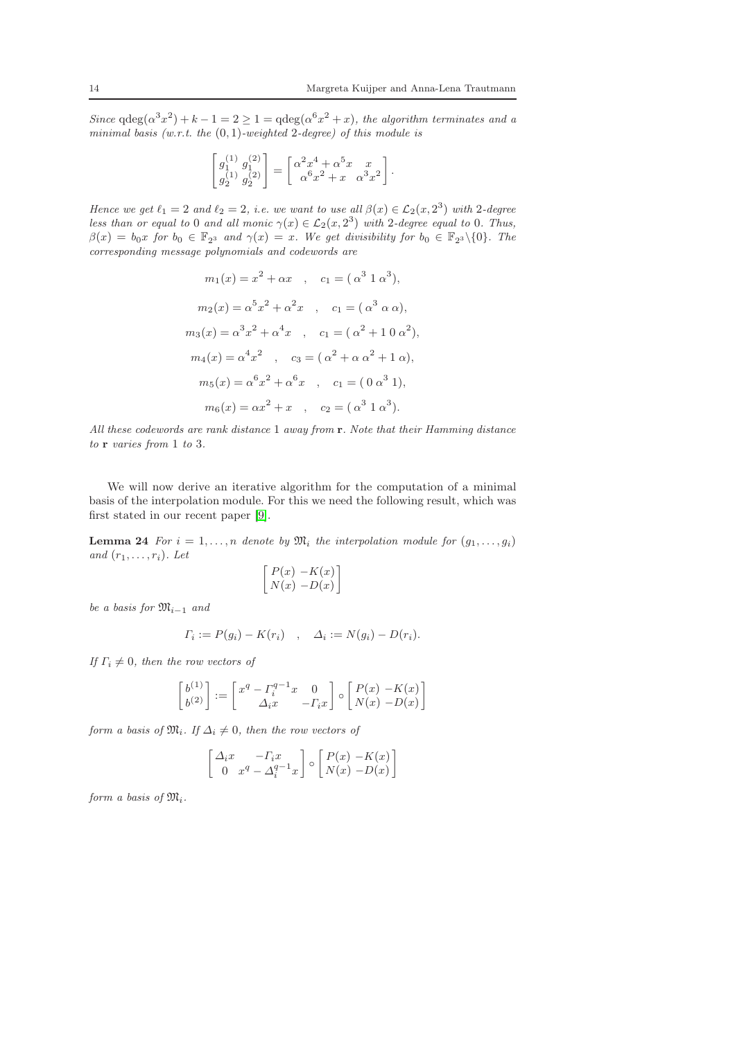Since  $qdeg(\alpha^3 x^2) + k - 1 = 2 \ge 1 = qdeg(\alpha^6 x^2 + x)$ , the algorithm terminates and a minimal basis (w.r.t. the  $(0, 1)$ -weighted 2-degree) of this module is

$$
\begin{bmatrix} g_1^{(1)}\;g_1^{(2)} \\ g_2^{(1)}\;g_2^{(2)} \end{bmatrix} = \begin{bmatrix} \alpha^2 x^4 + \alpha^5 x & x \\ \alpha^6 x^2 + x & \alpha^3 x^2 \end{bmatrix}.
$$

Hence we get  $\ell_1 = 2$  and  $\ell_2 = 2$ , i.e. we want to use all  $\beta(x) \in \mathcal{L}_2(x, 2^3)$  with 2-degree less than or equal to 0 and all monic  $\gamma(x) \in \mathcal{L}_2(x, 2^3)$  with 2-degree equal to 0. Thus,  $\beta(x) = b_0 x$  for  $b_0 \in \mathbb{F}_{2^3}$  and  $\gamma(x) = x$ . We get divisibility for  $b_0 \in \mathbb{F}_{2^3} \setminus \{0\}$ . The corresponding message polynomials and codewords are

$$
m_1(x) = x^2 + \alpha x \quad , \quad c_1 = (\alpha^3 \ 1 \ \alpha^3),
$$
  
\n
$$
m_2(x) = \alpha^5 x^2 + \alpha^2 x \quad , \quad c_1 = (\alpha^3 \ \alpha \ \alpha),
$$
  
\n
$$
m_3(x) = \alpha^3 x^2 + \alpha^4 x \quad , \quad c_1 = (\alpha^2 + 1 \ 0 \ \alpha^2),
$$
  
\n
$$
m_4(x) = \alpha^4 x^2 \quad , \quad c_3 = (\alpha^2 + \alpha \ \alpha^2 + 1 \ \alpha),
$$
  
\n
$$
m_5(x) = \alpha^6 x^2 + \alpha^6 x \quad , \quad c_1 = (0 \ \alpha^3 \ 1),
$$
  
\n
$$
m_6(x) = \alpha x^2 + x \quad , \quad c_2 = (\alpha^3 \ 1 \ \alpha^3).
$$

All these codewords are rank distance 1 away from r. Note that their Hamming distance to **r** varies from 1 to 3.

We will now derive an iterative algorithm for the computation of a minimal basis of the interpolation module. For this we need the following result, which was first stated in our recent paper [\[9\]](#page-22-16).

<span id="page-13-0"></span>**Lemma 24** For  $i = 1, ..., n$  denote by  $\mathfrak{M}_i$  the interpolation module for  $(g_1, ..., g_i)$ and  $(r_1, \ldots, r_i)$ . Let

$$
\begin{bmatrix} P(x) & -K(x) \\ N(x) & -D(x) \end{bmatrix}
$$

be a basis for  $\mathfrak{M}_{i-1}$  and

$$
\Gamma_i := P(g_i) - K(r_i) \quad , \quad \Delta_i := N(g_i) - D(r_i).
$$

If  $\Gamma_i \neq 0$ , then the row vectors of

$$
\begin{bmatrix} b^{(1)} \\ b^{(2)} \end{bmatrix} := \begin{bmatrix} x^q - \Gamma_i^{q-1} x & 0 \\ \Delta_i x & -\Gamma_i x \end{bmatrix} \circ \begin{bmatrix} P(x) & -K(x) \\ N(x) & -D(x) \end{bmatrix}
$$

form a basis of  $\mathfrak{M}_i$ . If  $\Delta_i \neq 0$ , then the row vectors of

$$
\begin{bmatrix}\n\Delta_i x & -F_i x \\
0 & x^q - \Delta_i^{q-1} x\n\end{bmatrix}\n\circ\n\begin{bmatrix}\nP(x) - K(x) \\
N(x) - D(x)\n\end{bmatrix}
$$

form a basis of  $\mathfrak{M}_i$ .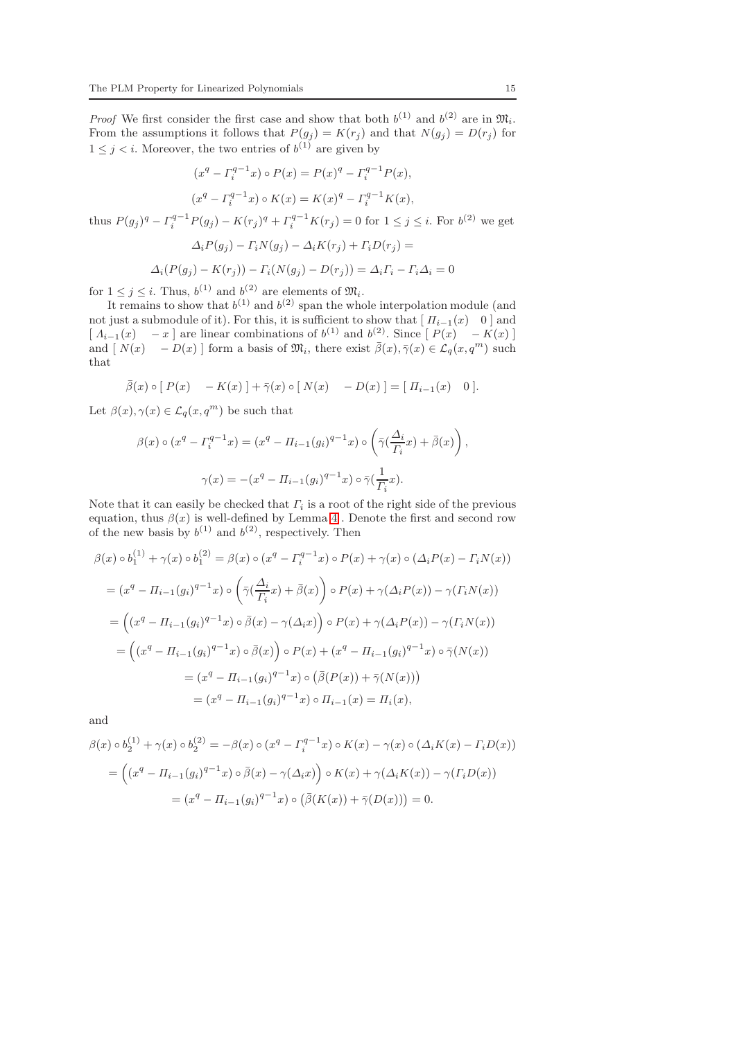*Proof* We first consider the first case and show that both  $b^{(1)}$  and  $b^{(2)}$  are in  $\mathfrak{M}_i$ . From the assumptions it follows that  $P(g_j) = K(r_j)$  and that  $N(g_j) = D(r_j)$  for  $1 \leq j \leq i$ . Moreover, the two entries of  $b^{(1)}$  are given by

$$
(x^{q} - \Gamma_{i}^{q-1} x) \circ P(x) = P(x)^{q} - \Gamma_{i}^{q-1} P(x),
$$
  

$$
(x^{q} - \Gamma_{i}^{q-1} x) \circ K(x) = K(x)^{q} - \Gamma_{i}^{q-1} K(x),
$$

thus  $P(g_j)^q - \Gamma_i^{q-1} P(g_j) - K(r_j)^q + \Gamma_i^{q-1} K(r_j) = 0$  for  $1 \le j \le i$ . For  $b^{(2)}$  we get  $\overline{A} \cdot \overline{D(z)} = \overline{C} \cdot \overline{M(z)} = \overline{A} \cdot \overline{K(x)} + \overline{C} \cdot \overline{D(x)}$ 

$$
\Delta_i P(g_j) - \Gamma_i N(g_j) - \Delta_i K(r_j) + \Gamma_i D(r_j) =
$$

$$
\Delta_i(P(g_j) - K(r_j)) - \Gamma_i(N(g_j) - D(r_j)) = \Delta_i \Gamma_i - \Gamma_i \Delta_i = 0
$$

for  $1 \leq j \leq i$ . Thus,  $b^{(1)}$  and  $b^{(2)}$  are elements of  $\mathfrak{M}_i$ .

It remains to show that  $b^{(1)}$  and  $b^{(2)}$  span the whole interpolation module (and not just a submodule of it). For this, it is sufficient to show that  $[I_{i-1}(x) \quad 0]$  and  $\begin{bmatrix} \Lambda_{i-1}(x) & -x \end{bmatrix}$  are linear combinations of  $b^{(1)}$  and  $b^{(2)}$ . Since  $\begin{bmatrix} P(x) & -K(x) \end{bmatrix}$ and  $[N(x) - D(x)]$  form a basis of  $\mathfrak{M}_i$ , there exist  $\bar{\beta}(x), \bar{\gamma}(x) \in \mathcal{L}_q(x, q^m)$  such that

$$
\overline{\beta}(x) \circ [P(x) - K(x)] + \overline{\gamma}(x) \circ [N(x) - D(x)] = [ \Pi_{i-1}(x) \quad 0].
$$

Let  $\beta(x), \gamma(x) \in \mathcal{L}_q(x,q^m)$  be such that

$$
\beta(x) \circ (x^q - \Gamma_i^{q-1} x) = (x^q - \Pi_{i-1}(g_i)^{q-1} x) \circ \left(\bar{\gamma}(\frac{\Delta_i}{\Gamma_i} x) + \bar{\beta}(x)\right),
$$

$$
\gamma(x) = -(x^q - \Pi_{i-1}(g_i)^{q-1} x) \circ \bar{\gamma}(\frac{1}{\Gamma_i} x).
$$

Note that it can easily be checked that  $\Gamma_i$  is a root of the right side of the previous equation, thus  $\beta(x)$  is well-defined by Lemma [4](#page-3-0). Denote the first and second row of the new basis by  $b^{(1)}$  and  $b^{(2)}$ , respectively. Then

$$
\beta(x) \circ b_1^{(1)} + \gamma(x) \circ b_1^{(2)} = \beta(x) \circ (x^q - \Gamma_i^{q-1}x) \circ P(x) + \gamma(x) \circ (\Delta_i P(x) - \Gamma_i N(x))
$$
  
\n
$$
= (x^q - \Pi_{i-1}(g_i)^{q-1}x) \circ \left(\bar{\gamma}(\frac{\Delta_i}{\Gamma_i}x) + \bar{\beta}(x)\right) \circ P(x) + \gamma(\Delta_i P(x)) - \gamma(\Gamma_i N(x))
$$
  
\n
$$
= \left((x^q - \Pi_{i-1}(g_i)^{q-1}x) \circ \bar{\beta}(x) - \gamma(\Delta_i x)\right) \circ P(x) + \gamma(\Delta_i P(x)) - \gamma(\Gamma_i N(x))
$$
  
\n
$$
= \left((x^q - \Pi_{i-1}(g_i)^{q-1}x) \circ \bar{\beta}(x)\right) \circ P(x) + (x^q - \Pi_{i-1}(g_i)^{q-1}x) \circ \bar{\gamma}(N(x))
$$
  
\n
$$
= (x^q - \Pi_{i-1}(g_i)^{q-1}x) \circ (\bar{\beta}(P(x)) + \bar{\gamma}(N(x)))
$$
  
\n
$$
= (x^q - \Pi_{i-1}(g_i)^{q-1}x) \circ \Pi_{i-1}(x) = \Pi_i(x),
$$

and

$$
\beta(x) \circ b_2^{(1)} + \gamma(x) \circ b_2^{(2)} = -\beta(x) \circ (x^q - \Gamma_i^{q-1} x) \circ K(x) - \gamma(x) \circ (\Delta_i K(x) - \Gamma_i D(x))
$$
  
= 
$$
\left( (x^q - \Pi_{i-1}(g_i)^{q-1} x) \circ \bar{\beta}(x) - \gamma(\Delta_i x) \right) \circ K(x) + \gamma(\Delta_i K(x)) - \gamma(\Gamma_i D(x))
$$
  
= 
$$
(x^q - \Pi_{i-1}(g_i)^{q-1} x) \circ (\bar{\beta}(K(x)) + \bar{\gamma}(D(x))) = 0.
$$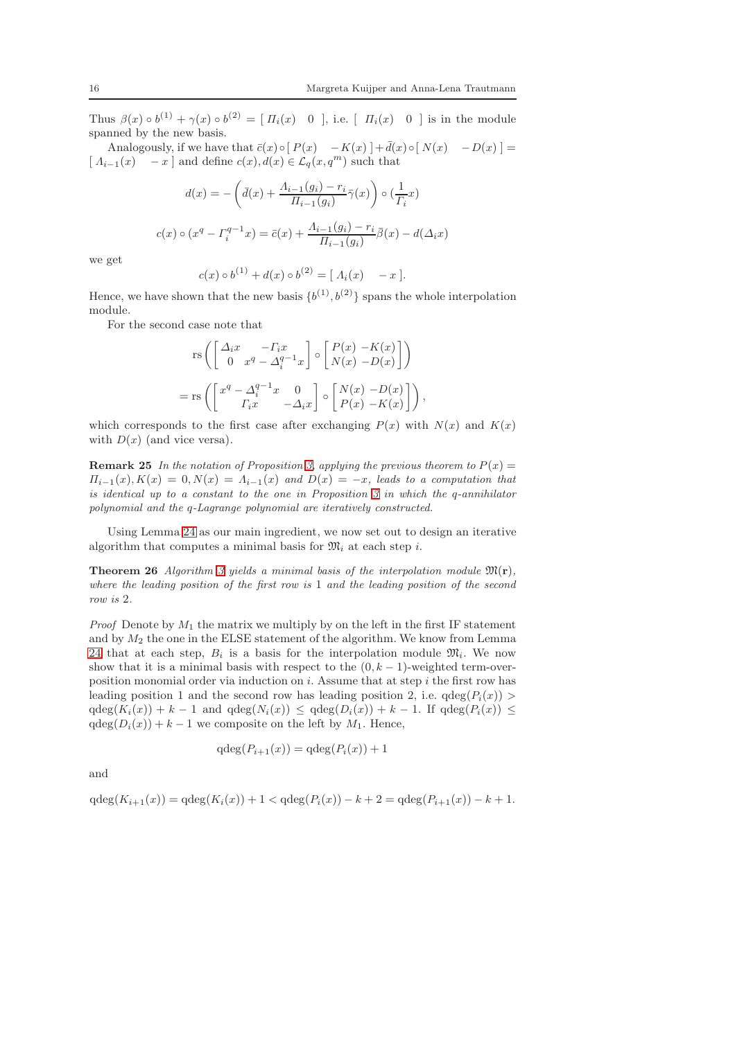Thus  $\beta(x) \circ b^{(1)} + \gamma(x) \circ b^{(2)} = [H_i(x) \quad 0],$  i.e.  $[H_i(x) \quad 0]$  is in the module spanned by the new basis.

Analogously, if we have that  $\bar{c}(x) \circ [P(x) - K(x)] + \bar{d}(x) \circ [N(x) - D(x)] =$  $[A_{i-1}(x) - x]$  and define  $c(x)$ ,  $d(x) \in \mathcal{L}_q(x, q^m)$  such that

$$
d(x) = -\left(\bar{d}(x) + \frac{\Lambda_{i-1}(g_i) - r_i}{\Pi_{i-1}(g_i)} \bar{\gamma}(x)\right) \circ \left(\frac{1}{\Gamma_i} x\right)
$$

$$
c(x) \circ (x^q - \Gamma_i^{q-1} x) = \bar{c}(x) + \frac{\Lambda_{i-1}(g_i) - r_i}{\Pi_{i-1}(g_i)} \bar{\beta}(x) - d(\Delta_i x)
$$

we get

$$
c(x) \circ b^{(1)} + d(x) \circ b^{(2)} = [A_i(x) - x].
$$

Hence, we have shown that the new basis  $\{b^{(1)}, b^{(2)}\}$  spans the whole interpolation module.

For the second case note that

$$
\operatorname{rs}\left(\begin{bmatrix} \Delta_i x & -\Gamma_i x \\ 0 & x^q - \Delta_i^{q-1} x \end{bmatrix} \circ \begin{bmatrix} P(x) - K(x) \\ N(x) - D(x) \end{bmatrix}\right)
$$

$$
= \operatorname{rs}\left(\begin{bmatrix} x^q - \Delta_i^{q-1} x & 0 \\ \Gamma_i x & -\Delta_i x \end{bmatrix} \circ \begin{bmatrix} N(x) - D(x) \\ P(x) - K(x) \end{bmatrix}\right),
$$

which corresponds to the first case after exchanging  $P(x)$  with  $N(x)$  and  $K(x)$ with  $D(x)$  (and vice versa).

**Remark 25** In the notation of Proposition [3,](#page-2-1) applying the previous theorem to  $P(x) =$  $\Pi_{i-1}(x), K(x) = 0, N(x) = \Lambda_{i-1}(x)$  and  $D(x) = -x$ , leads to a computation that is identical up to a constant to the one in Proposition  $3$  in which the q-annihilator polynomial and the q-Lagrange polynomial are iteratively constructed.

Using Lemma [24](#page-13-0) as our main ingredient, we now set out to design an iterative algorithm that computes a minimal basis for  $\mathfrak{M}_i$  at each step *i*.

**Theorem 26** Algorithm [3](#page-16-0) yields a minimal basis of the interpolation module  $\mathfrak{M}(\mathbf{r})$ , where the leading position of the first row is 1 and the leading position of the second row is 2.

*Proof* Denote by  $M_1$  the matrix we multiply by on the left in the first IF statement and by  $M_2$  the one in the ELSE statement of the algorithm. We know from Lemma [24](#page-13-0) that at each step,  $B_i$  is a basis for the interpolation module  $\mathfrak{M}_i$ . We now show that it is a minimal basis with respect to the  $(0, k - 1)$ -weighted term-overposition monomial order via induction on  $i$ . Assume that at step  $i$  the first row has leading position 1 and the second row has leading position 2, i.e.  $qdeg(P_i(x))$  $qdeg(K_i(x)) + k - 1$  and  $qdeg(N_i(x)) \leq qdeg(D_i(x)) + k - 1$ . If  $qdeg(P_i(x)) \leq$  $qdeg(D_i(x)) + k - 1$  we composite on the left by  $M_1$ . Hence,

$$
\mathrm{qdeg}(P_{i+1}(x)) = \mathrm{qdeg}(P_i(x)) + 1
$$

and

 $qdeg(K_{i+1}(x)) = qdeg(K_i(x)) + 1 < qdeg(P_i(x)) - k + 2 = qdeg(P_{i+1}(x)) - k + 1.$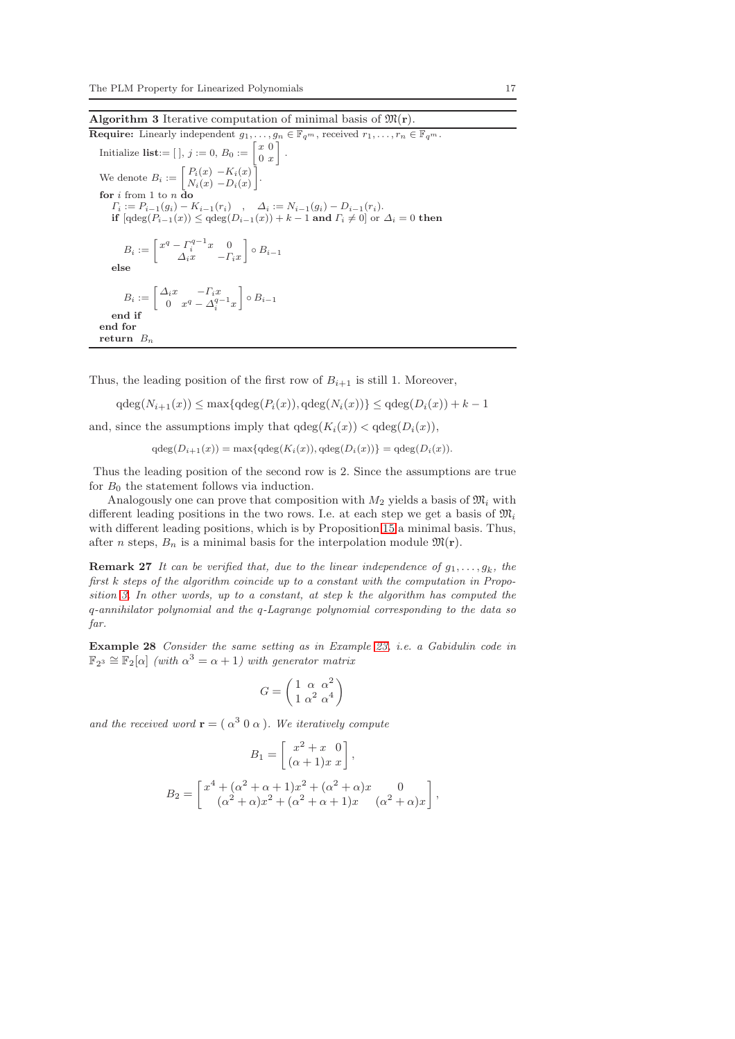<span id="page-16-0"></span>Algorithm 3 Iterative computation of minimal basis of  $\mathfrak{M}(\mathbf{r})$ .

**Required**: Linearly independent 
$$
g_1, \ldots, g_n \in \mathbb{F}_{q^m}
$$
, received  $r_1, \ldots, r_n \in \mathbb{F}_{q^m}$ .  
\nInitialize list: =  $[\,]$ ,  $j := 0$ ,  $B_0 := \begin{bmatrix} x & 0 \\ 0 & x \end{bmatrix}$ .  
\nWe denote  $B_i := \begin{bmatrix} P_i(x) - K_i(x) \\ N_i(x) - D_i(x) \end{bmatrix}$ .  
\n**for**  $i$  from 1 to  $n$  **do**  
\n $\Gamma_i := P_{i-1}(g_i) - K_{i-1}(r_i)$ ,  $\Delta_i := N_{i-1}(g_i) - D_{i-1}(r_i)$ .  
\n**if**  $[\text{deg}(P_{i-1}(x)) \leq \text{deg}(D_{i-1}(x)) + k - 1$  **and**  $\Gamma_i \neq 0 \text{ or } \Delta_i = 0$  **then**  
\n $B_i := \begin{bmatrix} x^q - \Gamma_i^{q-1}x & 0 \\ \Delta_i x & -\Gamma_i x \end{bmatrix} \circ B_{i-1}$   
\n**else**  
\n $B_i := \begin{bmatrix} \Delta_i x & -\Gamma_i x \\ 0 & x^q - \Delta_i^{q-1} x \end{bmatrix} \circ B_{i-1}$   
\n**end if**  
\n**end for**  
\n**return**  $B_n$ 

Thus, the leading position of the first row of  $B_{i+1}$  is still 1. Moreover,

$$
\mathrm{qdeg}(N_{i+1}(x)) \le \max\{\mathrm{qdeg}(P_i(x)), \mathrm{qdeg}(N_i(x))\} \le \mathrm{qdeg}(D_i(x)) + k - 1
$$

and, since the assumptions imply that  $qdeg(K_i(x)) < qdeg(D_i(x)),$ 

 $qdeg(D_{i+1}(x)) = \max\{qdeg(K_i(x)), qdeg(D_i(x))\} = qdeg(D_i(x)).$ 

Thus the leading position of the second row is 2. Since the assumptions are true for  $B_0$  the statement follows via induction.

Analogously one can prove that composition with  $M_2$  yields a basis of  $\mathfrak{M}_i$  with different leading positions in the two rows. I.e. at each step we get a basis of  $\mathfrak{M}_i$ with different leading positions, which is by Proposition [15](#page-6-0) a minimal basis. Thus, after *n* steps,  $B_n$  is a minimal basis for the interpolation module  $\mathfrak{M}(r)$ .

**Remark 27** It can be verified that, due to the linear independence of  $g_1, \ldots, g_k$ , the first k steps of the algorithm coincide up to a constant with the computation in Propo-sition [3.](#page-2-1) In other words, up to a constant, at step  $k$  the algorithm has computed the q-annihilator polynomial and the q-Lagrange polynomial corresponding to the data so far.

Example 28 Consider the same setting as in Example [23,](#page-12-1) i.e. a Gabidulin code in  $\mathbb{F}_{2^3} \cong \mathbb{F}_2[\alpha]$  (with  $\alpha^3 = \alpha + 1$ ) with generator matrix

$$
G = \begin{pmatrix} 1 & \alpha & \alpha^2 \\ 1 & \alpha^2 & \alpha^4 \end{pmatrix}
$$

and the received word  $\mathbf{r} = (\alpha^3 \ 0 \ \alpha)$ . We iteratively compute

$$
B_1 = \begin{bmatrix} x^2 + x & 0 \\ (\alpha + 1)x & x \end{bmatrix},
$$
  
\n
$$
B_2 = \begin{bmatrix} x^4 + (\alpha^2 + \alpha + 1)x^2 + (\alpha^2 + \alpha)x & 0 \\ (\alpha^2 + \alpha)x^2 + (\alpha^2 + \alpha + 1)x & (\alpha^2 + \alpha)x \end{bmatrix}
$$

,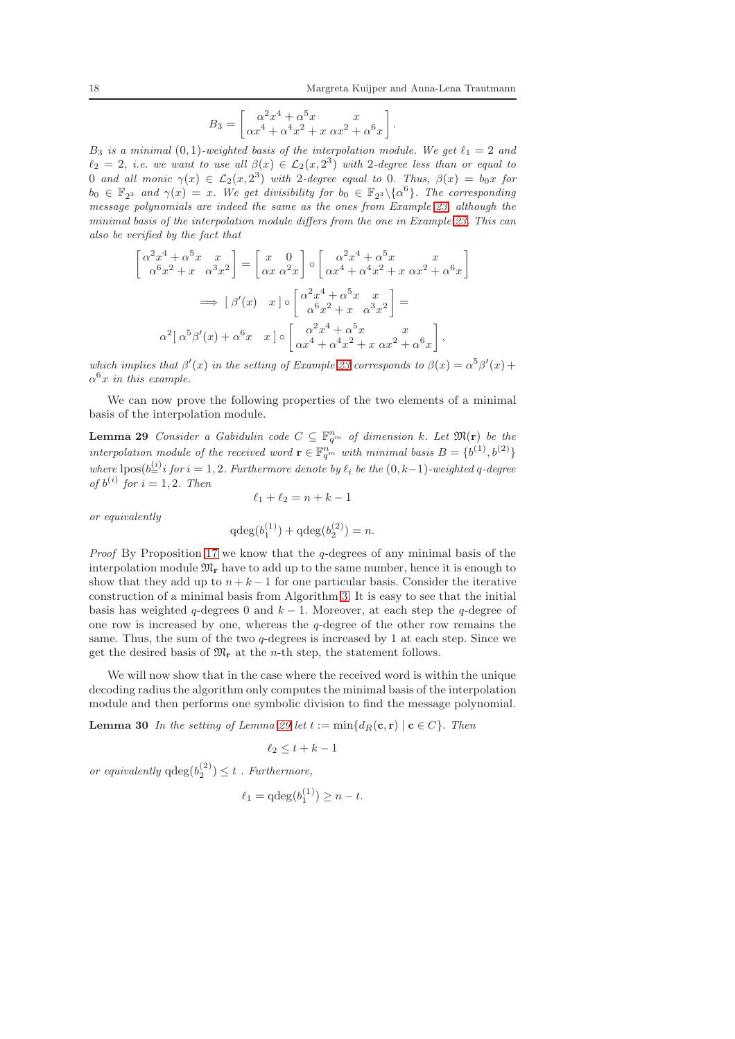$$
B_3 = \begin{bmatrix} \alpha^2 x^4 + \alpha^5 x & x \\ \alpha x^4 + \alpha^4 x^2 + x & \alpha x^2 + \alpha^6 x \end{bmatrix}.
$$

B<sub>3</sub> is a minimal  $(0, 1)$ -weighted basis of the interpolation module. We get  $\ell_1 = 2$  and  $\ell_2 = 2$ , i.e. we want to use all  $\beta(x) \in \mathcal{L}_2(x, 2^3)$  with 2-degree less than or equal to 0 and all monic  $\gamma(x) \in \mathcal{L}_2(x, 2^3)$  with 2-degree equal to 0. Thus,  $\beta(x) = b_0x$  for  $b_0 \in \mathbb{F}_{2^3}$  and  $\gamma(x) = x$ . We get divisibility for  $b_0 \in \mathbb{F}_{2^3} \setminus {\{\alpha^6\}}$ . The corresponding message polynomials are indeed the same as the ones from Example [23,](#page-12-1) although the minimal basis of the interpolation module differs from the one in Example [23.](#page-12-1) This can also be verified by the fact that

$$
\alpha^2 x^4 + \alpha^5 x x x \alpha^3 x^2 = \begin{bmatrix} x & 0 \\ \alpha x & \alpha^2 x \end{bmatrix} \circ \begin{bmatrix} \alpha^2 x^4 + \alpha^5 x & x \\ \alpha x^4 + \alpha^4 x^2 + x & \alpha x^2 + \alpha^6 x \end{bmatrix}
$$

$$
\implies [\beta'(x) \quad x] \circ \begin{bmatrix} \alpha^2 x^4 + \alpha^5 x & x \\ \alpha^6 x^2 + x & \alpha^3 x^2 \end{bmatrix} =
$$

$$
\alpha^2 [\alpha^5 \beta'(x) + \alpha^6 x \quad x] \circ \begin{bmatrix} \alpha^2 x^4 + \alpha^5 x & x \\ \alpha^4 x^4 + \alpha^4 x^2 + x & \alpha x^2 + \alpha^6 x \end{bmatrix},
$$

which implies that  $\beta'(x)$  in the setting of Example [23](#page-12-1) corresponds to  $\beta(x) = \alpha^5 \beta'(x) +$  $\alpha^6 x$  in this example.

<span id="page-17-0"></span>We can now prove the following properties of the two elements of a minimal basis of the interpolation module.

**Lemma 29** Consider a Gabidulin code  $C \subseteq \mathbb{F}_{q^m}^n$  of dimension k. Let  $\mathfrak{M}(\mathbf{r})$  be the interpolation module of the received word  $\mathbf{r} \in \mathbb{F}_{q^m}^n$  with minimal basis  $B = \{b^{(1)}, b^{(2)}\}$ where  $\text{lpos}(b_{n}^{(i)} i$  for  $i = 1, 2$ . Furthermore denote by  $\ell_i$  be the  $(0, k-1)$ -weighted q-degree of  $b^{(i)}$  for  $i = 1, 2$ . Then

$$
\ell_1 + \ell_2 = n + k - 1
$$

 $\overline{q}$ 

or equivalently

 $\sqrt{ }$ 

$$
\deg(b_1^{(1)}) + \deg(b_2^{(2)}) = n.
$$

*Proof* By Proposition [17](#page-7-1) we know that the  $q$ -degrees of any minimal basis of the interpolation module  $\mathfrak{M}_{r}$  have to add up to the same number, hence it is enough to show that they add up to  $n + k - 1$  for one particular basis. Consider the iterative construction of a minimal basis from Algorithm [3.](#page-16-0) It is easy to see that the initial basis has weighted q-degrees 0 and  $k - 1$ . Moreover, at each step the q-degree of one row is increased by one, whereas the q-degree of the other row remains the same. Thus, the sum of the two  $q$ -degrees is increased by 1 at each step. Since we get the desired basis of  $\mathfrak{M}_{r}$  at the *n*-th step, the statement follows.

We will now show that in the case where the received word is within the unique decoding radius the algorithm only computes the minimal basis of the interpolation module and then performs one symbolic division to find the message polynomial.

<span id="page-17-1"></span>**Lemma 30** In the setting of Lemma [29](#page-17-0) let  $t := min\{d_R(c, r) | c \in C\}$ . Then

$$
\ell_2 \leq t + k - 1
$$

or equivalently  $q \deg(b_2^{(2)}) \leq t$ . Furthermore,

$$
\ell_1 = \mathrm{qdeg}(b_1^{(1)}) \ge n - t.
$$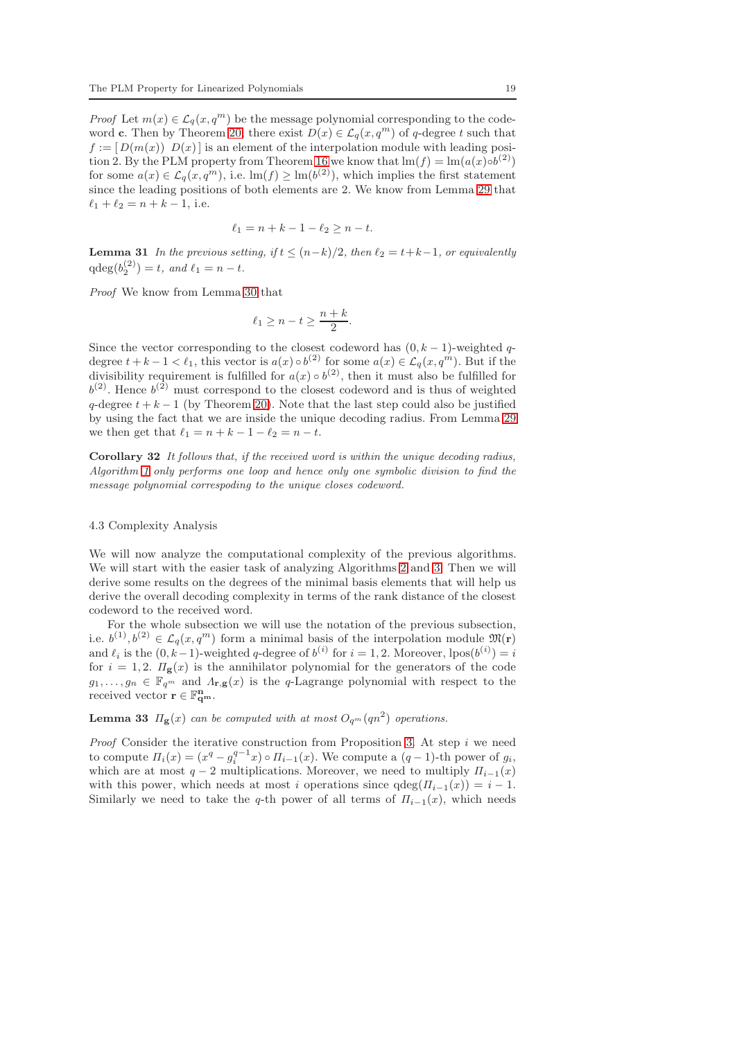*Proof* Let  $m(x) \in \mathcal{L}_q(x, q^m)$  be the message polynomial corresponding to the code-word c. Then by Theorem [20,](#page-9-0) there exist  $D(x) \in \mathcal{L}_q(x, q^m)$  of q-degree t such that  $f := [D(m(x)) D(x)]$  is an element of the interpolation module with leading posi-tion 2. By the PLM property from Theorem [16](#page-7-0) we know that  $\text{Im}(f) = \text{Im}(a(x) \circ b^{(2)})$ for some  $a(x) \in \mathcal{L}_q(x, q^m)$ , i.e.  $\text{Im}(f) \ge \text{Im}(b^{(2)})$ , which implies the first statement since the leading positions of both elements are 2. We know from Lemma [29](#page-17-0) that  $\ell_1 + \ell_2 = n + k - 1$ , i.e.

$$
\ell_1 = n + k - 1 - \ell_2 \ge n - t.
$$

**Lemma 31** In the previous setting, if  $t \leq (n-k)/2$ , then  $\ell_2 = t+k-1$ , or equivalently  $qdeg(b_2^{(2)}) = t$ , and  $\ell_1 = n - t$ .

Proof We know from Lemma [30](#page-17-1) that

$$
\ell_1 \ge n - t \ge \frac{n+k}{2}.
$$

Since the vector corresponding to the closest codeword has  $(0, k - 1)$ -weighted qdegree  $t + k - 1 < \ell_1$ , this vector is  $a(x) \circ b^{(2)}$  for some  $a(x) \in \mathcal{L}_q(x, q^m)$ . But if the divisibility requirement is fulfilled for  $a(x) \circ b^{(2)}$ , then it must also be fulfilled for  $b^{(2)}$ . Hence  $b^{(2)}$  must correspond to the closest codeword and is thus of weighted q-degree  $t + k - 1$  (by Theorem [20\)](#page-9-0). Note that the last step could also be justified by using the fact that we are inside the unique decoding radius. From Lemma [29](#page-17-0) we then get that  $\ell_1 = n + k - 1 - \ell_2 = n - t$ .

<span id="page-18-0"></span>Corollary 32 It follows that, if the received word is within the unique decoding radius, Algorithm [1](#page-10-0) only performs one loop and hence only one symbolic division to find the message polynomial correspoding to the unique closes codeword.

# 4.3 Complexity Analysis

We will now analyze the computational complexity of the previous algorithms. We will start with the easier task of analyzing Algorithms [2](#page-12-0) and [3.](#page-16-0) Then we will derive some results on the degrees of the minimal basis elements that will help us derive the overall decoding complexity in terms of the rank distance of the closest codeword to the received word.

For the whole subsection we will use the notation of the previous subsection, i.e.  $b^{(1)}, b^{(2)} \in \mathcal{L}_q(x, q^m)$  form a minimal basis of the interpolation module  $\mathfrak{M}(\mathbf{r})$ and  $\ell_i$  is the  $(0, k-1)$ -weighted q-degree of  $b^{(i)}$  for  $i = 1, 2$ . Moreover,  $\text{lpos}(b^{(i)}) = i$ for  $i = 1, 2$ .  $\Pi_{\mathbf{g}}(x)$  is the annihilator polynomial for the generators of the code  $g_1, \ldots, g_n \in \mathbb{F}_{q^m}$  and  $\Lambda_{\mathbf{r},\mathbf{g}}(x)$  is the q-Lagrange polynomial with respect to the received vector  $\mathbf{r} \in \mathbb{F}_{\mathbf{q}^m}^{\mathbf{n}}$ .

**Lemma 33**  $\Pi_{\mathbf{g}}(x)$  can be computed with at most  $O_{q^m}(qn^2)$  operations.

*Proof* Consider the iterative construction from Proposition [3.](#page-2-1) At step  $i$  we need to compute  $\Pi_i(x) = (x^q - g_i^{q-1}x) \circ \Pi_{i-1}(x)$ . We compute a  $(q-1)$ -th power of  $g_i$ , which are at most  $q - 2$  multiplications. Moreover, we need to multiply  $\Pi_{i-1}(x)$ with this power, which needs at most i operations since  $qdeg(\Pi_{i-1}(x)) = i - 1$ . Similarly we need to take the q-th power of all terms of  $\Pi_{i-1}(x)$ , which needs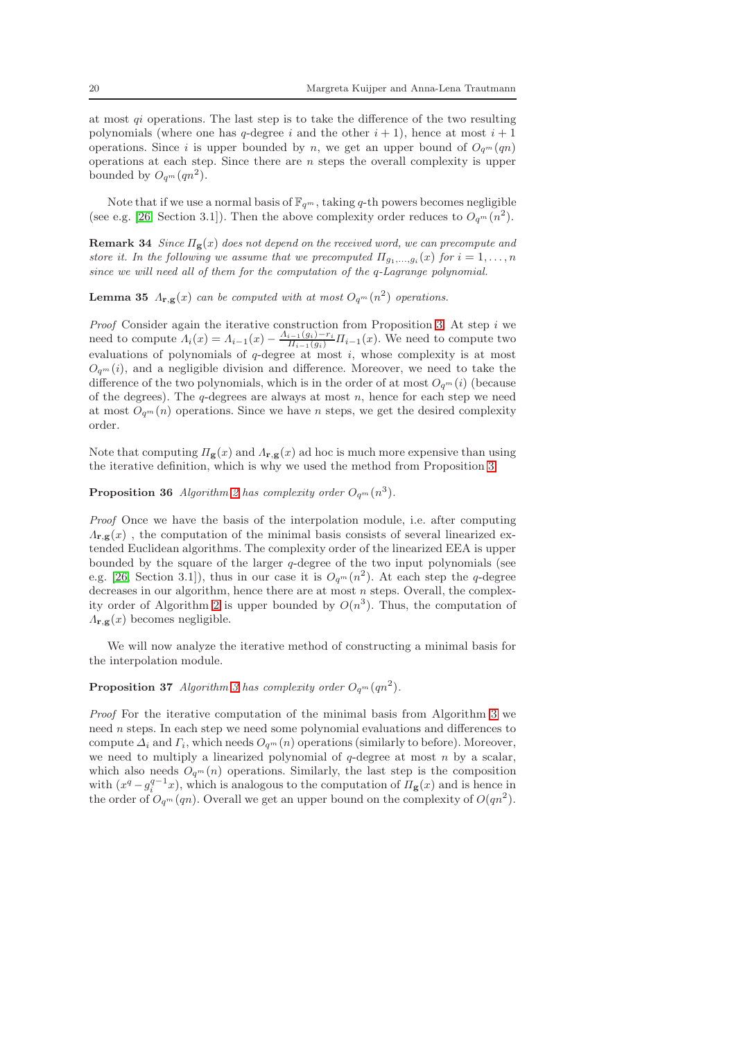at most  $qi$  operations. The last step is to take the difference of the two resulting polynomials (where one has q-degree i and the other  $i + 1$ ), hence at most  $i + 1$ operations. Since i is upper bounded by n, we get an upper bound of  $O_{q^m}(qn)$ operations at each step. Since there are  $n$  steps the overall complexity is upper bounded by  $O_{q^m}(qn^2)$ .

Note that if we use a normal basis of  $\mathbb{F}_{q^m}$ , taking q-th powers becomes negligible (see e.g. [\[26,](#page-23-9) Section 3.1]). Then the above complexity order reduces to  $O_{q^m}(n^2)$ .

**Remark 34** Since  $\Pi$ **g**(x) does not depend on the received word, we can precompute and store it. In the following we assume that we precomputed  $\Pi_{g_1,...,g_i}(x)$  for  $i=1,...,n$ since we will need all of them for the computation of the q-Lagrange polynomial.

**Lemma 35**  $\Lambda_{\mathbf{r},\mathbf{g}}(x)$  can be computed with at most  $O_{q^m}(n^2)$  operations.

*Proof* Consider again the iterative construction from Proposition [3.](#page-2-1) At step  $i$  we need to compute  $\Lambda_i(x) = \Lambda_{i-1}(x) - \frac{\Lambda_{i-1}(g_i) - r_i}{\Pi_{i-1}(g_i)} \Pi_{i-1}(x)$ . We need to compute two evaluations of polynomials of  $q$ -degree at most  $i$ , whose complexity is at most  $O_{q^m}(i)$ , and a negligible division and difference. Moreover, we need to take the difference of the two polynomials, which is in the order of at most  $O_{q^m}(i)$  (because of the degrees). The  $q$ -degrees are always at most  $n$ , hence for each step we need at most  $O_{q^m}(n)$  operations. Since we have n steps, we get the desired complexity order.

Note that computing  $\Pi_{\mathbf{g}}(x)$  and  $\Lambda_{\mathbf{r},\mathbf{g}}(x)$  ad hoc is much more expensive than using the iterative definition, which is why we used the method from Proposition [3.](#page-2-1)

# **Proposition 36** Algorithm [2](#page-12-0) has complexity order  $O_{q^m}(n^3)$ .

Proof Once we have the basis of the interpolation module, i.e. after computing  $\Lambda_{\mathbf{r},\mathbf{g}}(x)$ , the computation of the minimal basis consists of several linearized extended Euclidean algorithms. The complexity order of the linearized EEA is upper bounded by the square of the larger  $q$ -degree of the two input polynomials (see e.g. [\[26,](#page-23-9) Section 3.1]), thus in our case it is  $O_{q^m}(n^2)$ . At each step the q-degree decreases in our algorithm, hence there are at most  $n$  steps. Overall, the complex-ity order of Algorithm [2](#page-12-0) is upper bounded by  $O(n^3)$ . Thus, the computation of  $\Lambda_{\mathbf{r},\mathbf{g}}(x)$  becomes negligible.

We will now analyze the iterative method of constructing a minimal basis for the interpolation module.

# **Proposition [3](#page-16-0)7** Algorithm 3 has complexity order  $O_{q^m}(qn^2)$ .

Proof For the iterative computation of the minimal basis from Algorithm [3](#page-16-0) we need n steps. In each step we need some polynomial evaluations and differences to compute  $\Delta_i$  and  $\Gamma_i$ , which needs  $O_{q^m}(n)$  operations (similarly to before). Moreover, we need to multiply a linearized polynomial of  $q$ -degree at most n by a scalar, which also needs  $O_{q^m}(n)$  operations. Similarly, the last step is the composition with  $(x^q - g_i^{q-1}x)$ , which is analogous to the computation of  $\Pi_{\mathbf{g}}(x)$  and is hence in the order of  $O_{q^m}(qn)$ . Overall we get an upper bound on the complexity of  $O(qn^2)$ .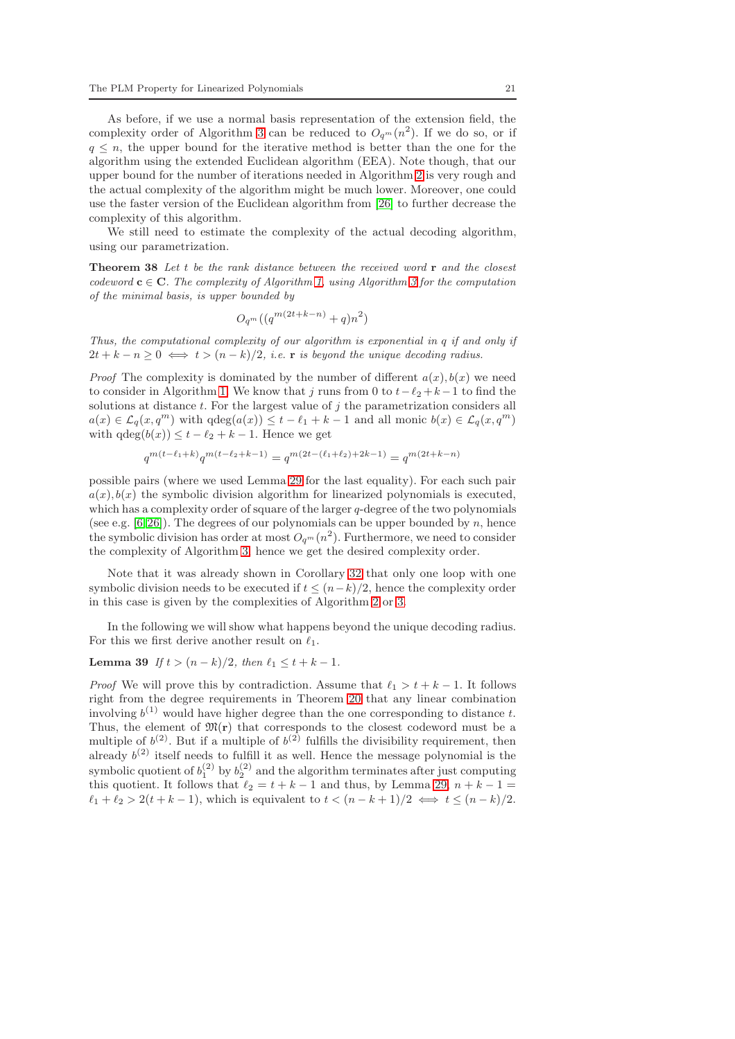As before, if we use a normal basis representation of the extension field, the complexity order of Algorithm [3](#page-16-0) can be reduced to  $O_{q^m}(n^2)$ . If we do so, or if  $q \leq n$ , the upper bound for the iterative method is better than the one for the algorithm using the extended Euclidean algorithm (EEA). Note though, that our upper bound for the number of iterations needed in Algorithm [2](#page-12-0) is very rough and the actual complexity of the algorithm might be much lower. Moreover, one could use the faster version of the Euclidean algorithm from [\[26\]](#page-23-9) to further decrease the complexity of this algorithm.

We still need to estimate the complexity of the actual decoding algorithm, using our parametrization.

**Theorem 38** Let  $t$  be the rank distance between the received word  $\mathbf{r}$  and the closest codeword  $c \in C$ . The complexity of Algorithm [1,](#page-10-0) using Algorithm [3](#page-16-0) for the computation of the minimal basis, is upper bounded by

$$
O_{q^m}((q^{m(2t+k-n)}+q)n^2)
$$

Thus, the computational complexity of our algorithm is exponential in q if and only if  $2t + k - n \geq 0 \iff t > (n - k)/2$ , i.e. **r** is beyond the unique decoding radius.

*Proof* The complexity is dominated by the number of different  $a(x)$ ,  $b(x)$  we need to consider in Algorithm [1.](#page-10-0) We know that j runs from 0 to  $t-\ell_2+k-1$  to find the solutions at distance  $t$ . For the largest value of  $j$  the parametrization considers all  $a(x) \in \mathcal{L}_q(x,q^m)$  with  $\deg(a(x)) \leq t - \ell_1 + k - 1$  and all monic  $b(x) \in \mathcal{L}_q(x,q^m)$ with  $qdeg(b(x)) \leq t - \ell_2 + k - 1$ . Hence we get

$$
q^{m(t-\ell_1+k)}q^{m(t-\ell_2+k-1)}=q^{m(2t-(\ell_1+\ell_2)+2k-1)}=q^{m(2t+k-n)}
$$

possible pairs (where we used Lemma [29](#page-17-0) for the last equality). For each such pair  $a(x)$ ,  $b(x)$  the symbolic division algorithm for linearized polynomials is executed. which has a complexity order of square of the larger q-degree of the two polynomials (see e.g.  $[6, 26]$  $[6, 26]$ ). The degrees of our polynomials can be upper bounded by n, hence the symbolic division has order at most  $O_{q^m}(n^2)$ . Furthermore, we need to consider the complexity of Algorithm [3,](#page-16-0) hence we get the desired complexity order.

Note that it was already shown in Corollary [32](#page-18-0) that only one loop with one symbolic division needs to be executed if  $t \leq (n-k)/2$ , hence the complexity order in this case is given by the complexities of Algorithm [2](#page-12-0) or [3.](#page-16-0)

In the following we will show what happens beyond the unique decoding radius. For this we first derive another result on  $\ell_1$ .

Lemma 39 If  $t > (n - k)/2$ , then  $\ell_1 \leq t + k - 1$ .

*Proof* We will prove this by contradiction. Assume that  $\ell_1 > t + k - 1$ . It follows right from the degree requirements in Theorem [20](#page-9-0) that any linear combination involving  $b^{(1)}$  would have higher degree than the one corresponding to distance t. Thus, the element of  $\mathfrak{M}(r)$  that corresponds to the closest codeword must be a multiple of  $b^{(2)}$ . But if a multiple of  $b^{(2)}$  fulfills the divisibility requirement, then already  $b^{(2)}$  itself needs to fulfill it as well. Hence the message polynomial is the symbolic quotient of  $b_1^{(2)}$  by  $b_2^{(2)}$  and the algorithm terminates after just computing this quotient. It follows that  $\ell_2 = t + k - 1$  and thus, by Lemma [29,](#page-17-0)  $n + k - 1 =$  $\ell_1 + \ell_2 > 2(t + k - 1)$ , which is equivalent to  $t < (n - k + 1)/2 \iff t \leq (n - k)/2$ .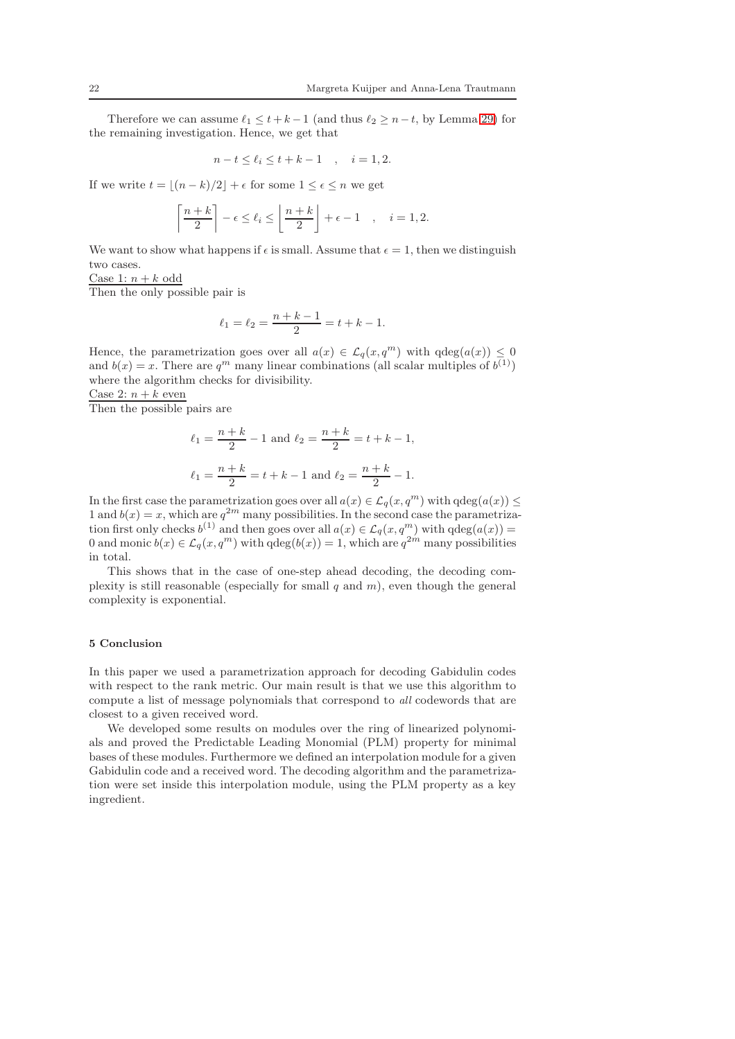Therefore we can assume  $\ell_1 \leq t+k-1$  (and thus  $\ell_2 \geq n-t$ , by Lemma [29\)](#page-17-0) for the remaining investigation. Hence, we get that

$$
n-t \le \ell_i \le t+k-1 \quad , \quad i=1,2.
$$

If we write  $t = \lfloor (n - k)/2 \rfloor + \epsilon$  for some  $1 \leq \epsilon \leq n$  we get

$$
\left\lceil \frac{n+k}{2} \right\rceil - \epsilon \le \ell_i \le \left\lfloor \frac{n+k}{2} \right\rfloor + \epsilon - 1 \quad , \quad i = 1, 2.
$$

We want to show what happens if  $\epsilon$  is small. Assume that  $\epsilon = 1$ , then we distinguish two cases.

Case 1:  $n + k$  odd

Then the only possible pair is

$$
\ell_1 = \ell_2 = \frac{n+k-1}{2} = t+k-1.
$$

Hence, the parametrization goes over all  $a(x) \in \mathcal{L}_q(x, q^m)$  with  $qdeg(a(x)) \leq 0$ and  $b(x) = x$ . There are  $q^m$  many linear combinations (all scalar multiples of  $b^{(1)}$ ) where the algorithm checks for divisibility.

Case 2:  $n + k$  even

Then the possible pairs are

$$
\ell_1 = \frac{n+k}{2} - 1 \text{ and } \ell_2 = \frac{n+k}{2} = t+k-1,
$$
  

$$
\ell_1 = \frac{n+k}{2} = t+k-1 \text{ and } \ell_2 = \frac{n+k}{2} - 1.
$$

In the first case the parametrization goes over all  $a(x) \in \mathcal{L}_q(x, q^m)$  with  $qdeg(a(x)) \leq$ 1 and  $b(x) = x$ , which are  $q^{2m}$  many possibilities. In the second case the parametrization first only checks  $b^{(1)}$  and then goes over all  $a(x) \in \mathcal{L}_q(x, q^m)$  with  $qdeg(a(x)) =$ 0 and monic  $b(x) \in \mathcal{L}_q(x, q^m)$  with  $qdeg(b(x)) = 1$ , which are  $q^{2m}$  many possibilities in total.

This shows that in the case of one-step ahead decoding, the decoding complexity is still reasonable (especially for small  $q$  and  $m$ ), even though the general complexity is exponential.

# <span id="page-21-0"></span>5 Conclusion

In this paper we used a parametrization approach for decoding Gabidulin codes with respect to the rank metric. Our main result is that we use this algorithm to compute a list of message polynomials that correspond to all codewords that are closest to a given received word.

We developed some results on modules over the ring of linearized polynomials and proved the Predictable Leading Monomial (PLM) property for minimal bases of these modules. Furthermore we defined an interpolation module for a given Gabidulin code and a received word. The decoding algorithm and the parametrization were set inside this interpolation module, using the PLM property as a key ingredient.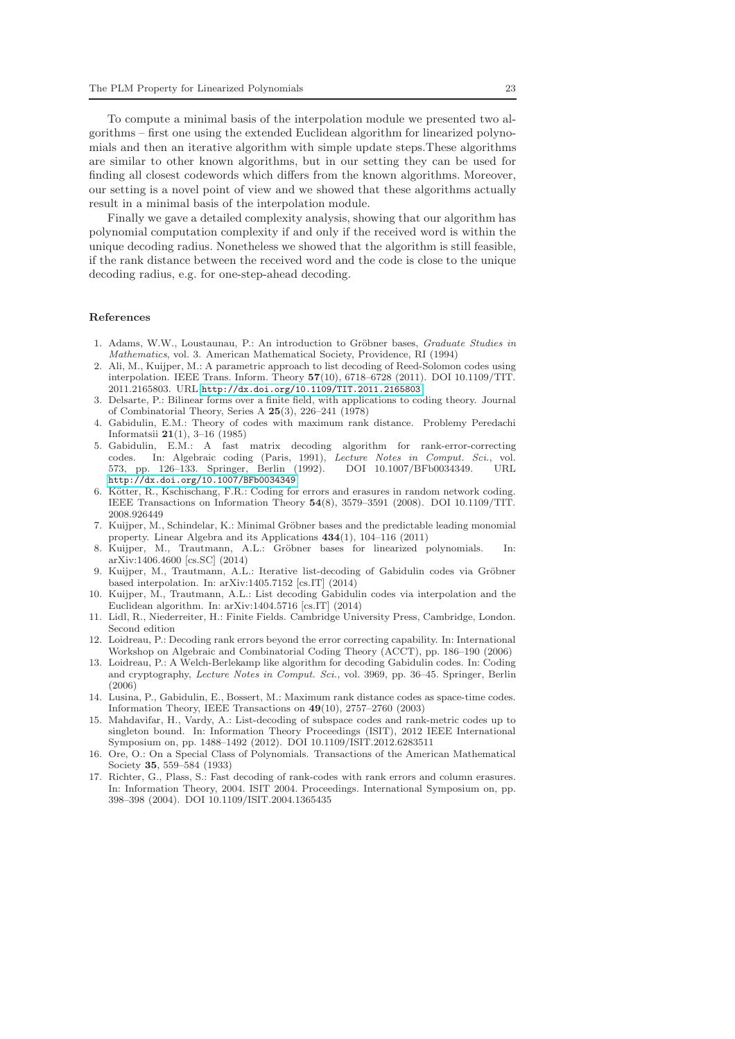To compute a minimal basis of the interpolation module we presented two algorithms – first one using the extended Euclidean algorithm for linearized polynomials and then an iterative algorithm with simple update steps.These algorithms are similar to other known algorithms, but in our setting they can be used for finding all closest codewords which differs from the known algorithms. Moreover, our setting is a novel point of view and we showed that these algorithms actually result in a minimal basis of the interpolation module.

Finally we gave a detailed complexity analysis, showing that our algorithm has polynomial computation complexity if and only if the received word is within the unique decoding radius. Nonetheless we showed that the algorithm is still feasible, if the rank distance between the received word and the code is close to the unique decoding radius, e.g. for one-step-ahead decoding.

#### References

- <span id="page-22-13"></span>1. Adams, W.W., Loustaunau, P.: An introduction to Gröbner bases, Graduate Studies in Mathematics, vol. 3. American Mathematical Society, Providence, RI (1994)
- <span id="page-22-12"></span>2. Ali, M., Kuijper, M.: A parametric approach to list decoding of Reed-Solomon codes using interpolation. IEEE Trans. Inform. Theory 57(10), 6718–6728 (2011). DOI 10.1109/TIT. 2011.2165803. URL <http://dx.doi.org/10.1109/TIT.2011.2165803>
- <span id="page-22-2"></span>3. Delsarte, P.: Bilinear forms over a finite field, with applications to coding theory. Journal of Combinatorial Theory, Series A 25(3), 226–241 (1978)
- <span id="page-22-1"></span>4. Gabidulin, E.M.: Theory of codes with maximum rank distance. Problemy Peredachi Informatsii 21(1), 3–16 (1985)
- <span id="page-22-4"></span>5. Gabidulin, E.M.: A fast matrix decoding algorithm for rank-error-correcting codes. In: Algebraic coding (Paris, 1991), Lecture Notes in Comput. Sci., vol. 573, pp. 126–133. Springer, Berlin (1992). DOI 10.1007/BFb0034349. URL <http://dx.doi.org/10.1007/BFb0034349>
- <span id="page-22-0"></span>6. Kötter, R., Kschischang, F.R.: Coding for errors and erasures in random network coding. IEEE Transactions on Information Theory 54(8), 3579–3591 (2008). DOI 10.1109/TIT. 2008.926449
- <span id="page-22-14"></span>7. Kuijper, M., Schindelar, K.: Minimal Gröbner bases and the predictable leading monomial property. Linear Algebra and its Applications 434(1), 104–116 (2011)
- <span id="page-22-15"></span>8. Kuijper, M., Trautmann, A.L.: Gröbner bases for linearized polynomials. In: arXiv:1406.4600 [cs.SC] (2014)
- <span id="page-22-16"></span>9. Kuijper, M., Trautmann, A.L.: Iterative list-decoding of Gabidulin codes via Gröbner based interpolation. In: arXiv:1405.7152 [cs.IT] (2014)
- <span id="page-22-11"></span>10. Kuijper, M., Trautmann, A.L.: List decoding Gabidulin codes via interpolation and the Euclidean algorithm. In: arXiv:1404.5716 [cs.IT] (2014)
- <span id="page-22-10"></span>11. Lidl, R., Niederreiter, H.: Finite Fields. Cambridge University Press, Cambridge, London. Second edition
- <span id="page-22-7"></span>12. Loidreau, P.: Decoding rank errors beyond the error correcting capability. In: International Workshop on Algebraic and Combinatorial Coding Theory (ACCT), pp. 186–190 (2006)
- <span id="page-22-5"></span>13. Loidreau, P.: A Welch-Berlekamp like algorithm for decoding Gabidulin codes. In: Coding and cryptography, Lecture Notes in Comput. Sci., vol. 3969, pp. 36–45. Springer, Berlin (2006)
- <span id="page-22-3"></span>14. Lusina, P., Gabidulin, E., Bossert, M.: Maximum rank distance codes as space-time codes. Information Theory, IEEE Transactions on 49(10), 2757–2760 (2003)
- <span id="page-22-8"></span>15. Mahdavifar, H., Vardy, A.: List-decoding of subspace codes and rank-metric codes up to singleton bound. In: Information Theory Proceedings (ISIT), 2012 IEEE International Symposium on, pp. 1488–1492 (2012). DOI 10.1109/ISIT.2012.6283511
- <span id="page-22-9"></span>16. Ore, O.: On a Special Class of Polynomials. Transactions of the American Mathematical Society 35, 559–584 (1933)
- <span id="page-22-6"></span>17. Richter, G., Plass, S.: Fast decoding of rank-codes with rank errors and column erasures. In: Information Theory, 2004. ISIT 2004. Proceedings. International Symposium on, pp. 398–398 (2004). DOI 10.1109/ISIT.2004.1365435